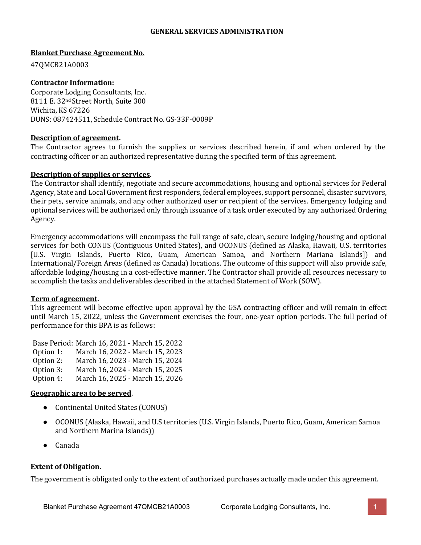#### **GENERAL SERVICES ADMINISTRATION**

#### **Blanket Purchase Agreement No.**

47QMCB21A0003

#### **Contractor Information:**

Corporate Lodging Consultants, Inc. 8111 E. 32nd Street North, Suite 300 Wichita, KS 67226 DUNS: 087424511, Schedule Contract No. GS-33F-0009P

#### **Description of agreement.**

The Contractor agrees to furnish the supplies or services described herein, if and when ordered by the contracting officer or an authorized representative during the specified term of this agreement.

#### **Description of supplies or services.**

The Contractor shall identify, negotiate and secure accommodations, housing and optional services for Federal Agency, State and Local Government first responders, federal employees, support personnel, disaster survivors, their pets, service animals, and any other authorized user or recipient of the services. Emergency lodging and optional services will be authorized only through issuance of a task order executed by any authorized Ordering Agency.

Emergency accommodations will encompass the full range of safe, clean, secure lodging/housing and optional services for both CONUS (Contiguous United States), and OCONUS (defined as Alaska, Hawaii, U.S. territories [U.S. Virgin Islands, Puerto Rico, Guam, American Samoa, and Northern Mariana Islands]) and International/Foreign Areas (defined as Canada) locations. The outcome of this support will also provide safe, affordable lodging/housing in a cost-effective manner. The Contractor shall provide all resources necessary to accomplish the tasks and deliverables described in the attached Statement of Work (SOW).

#### **Term of agreement.**

This agreement will become effective upon approval by the GSA contracting officer and will remain in effect until March 15, 2022, unless the Government exercises the four, one-year option periods. The full period of performance for this BPA is as follows:

Base Period: March 16, 2021 - March 15, 2022 Option 1: March 16, 2022 - March 15, 2023<br>Option 2: March 16, 2023 - March 15, 2024 Option 2: March 16, 2023 - March 15, 2024<br>Option 3: March 16, 2024 - March 15, 2025 Option 3: March 16, 2024 - March 15, 2025<br>Option 4: March 16, 2025 - March 15, 2026 March 16, 2025 - March 15, 2026

#### **Geographic area to be served**.

- Continental United States (CONUS)
- OCONUS (Alaska, Hawaii, and U.S territories (U.S. Virgin Islands, Puerto Rico, Guam, American Samoa and Northern Marina Islands))
- Canada

#### **Extent of Obligation.**

The government is obligated only to the extent of authorized purchases actually made under this agreement.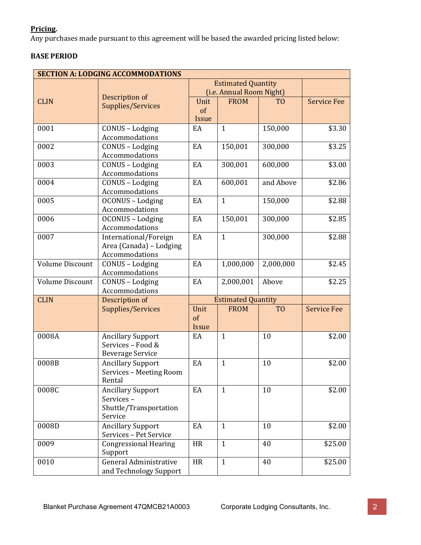## **Pricing.**

Any purchases made pursuant to this agreement will be based the awarded pricing listed below:

## **BASE PERIOD**

| <b>SECTION A: LODGING ACCOMMODATIONS</b> |                                              |              |                           |                |                    |
|------------------------------------------|----------------------------------------------|--------------|---------------------------|----------------|--------------------|
|                                          |                                              |              | <b>Estimated Quantity</b> |                |                    |
|                                          | Description of                               |              | (i.e. Annual Room Night)  |                |                    |
| <b>CLIN</b>                              | Supplies/Services                            | Unit         | <b>FROM</b>               | T <sub>0</sub> | <b>Service Fee</b> |
|                                          |                                              | of           |                           |                |                    |
|                                          |                                              | <b>Issue</b> |                           |                |                    |
| 0001                                     | CONUS - Lodging                              | EA           | $\mathbf{1}$              | 150,000        | \$3.30             |
|                                          | Accommodations                               |              |                           |                |                    |
| 0002                                     | CONUS - Lodging                              | EA           | 150,001                   | 300,000        | \$3.25             |
|                                          | Accommodations                               |              |                           |                |                    |
| 0003                                     | CONUS - Lodging<br>Accommodations            | EA           | 300,001                   | 600,000        | \$3.00             |
| 0004                                     | CONUS - Lodging                              | EA           | 600,001                   | and Above      | \$2.86             |
|                                          | Accommodations                               |              |                           |                |                    |
| 0005                                     | OCONUS - Lodging                             | EA           | $\mathbf{1}$              | 150,000        | \$2.88             |
|                                          | Accommodations                               |              |                           |                |                    |
| 0006                                     | OCONUS - Lodging                             | EA           | 150,001                   | 300,000        | \$2.85             |
|                                          | Accommodations                               |              |                           |                |                    |
| 0007                                     | International/Foreign                        | EA           | $\mathbf{1}$              | 300,000        | \$2.88             |
|                                          | Area (Canada) - Lodging                      |              |                           |                |                    |
|                                          | Accommodations                               |              |                           |                |                    |
| <b>Volume Discount</b>                   | CONUS - Lodging                              | EA           | 1,000,000                 | 2,000,000      | \$2.45             |
|                                          | Accommodations                               |              |                           |                |                    |
| <b>Volume Discount</b>                   | CONUS - Lodging                              | EA           | 2,000,001                 | Above          | \$2.25             |
|                                          | Accommodations                               |              |                           |                |                    |
| <b>CLIN</b>                              | Description of                               |              | <b>Estimated Quantity</b> |                |                    |
|                                          | Supplies/Services                            | Unit         | <b>FROM</b>               | T <sub>O</sub> | <b>Service Fee</b> |
|                                          |                                              | of           |                           |                |                    |
|                                          |                                              | Issue        |                           |                |                    |
| 0008A                                    | <b>Ancillary Support</b>                     | EA           | $\mathbf{1}$              | 10             | \$2.00             |
|                                          | Services - Food &<br><b>Beverage Service</b> |              |                           |                |                    |
| 0008B                                    | <b>Ancillary Support</b>                     | EA           | $\mathbf{1}$              | 10             | \$2.00             |
|                                          | Services - Meeting Room                      |              |                           |                |                    |
|                                          | Rental                                       |              |                           |                |                    |
| 0008C                                    | <b>Ancillary Support</b>                     | EA           | $\mathbf{1}$              | 10             | \$2.00             |
|                                          | Services-                                    |              |                           |                |                    |
|                                          | Shuttle/Transportation                       |              |                           |                |                    |
|                                          | Service                                      |              |                           |                |                    |
| 0008D                                    | <b>Ancillary Support</b>                     | EA           | $\mathbf{1}$              | 10             | \$2.00             |
|                                          | Services - Pet Service                       |              |                           |                |                    |
| 0009                                     | <b>Congressional Hearing</b>                 | HR           | $\mathbf{1}$              | 40             | \$25.00            |
|                                          | Support                                      |              |                           |                |                    |
| 0010                                     | <b>General Administrative</b>                | HR           | $\mathbf{1}$              | 40             | \$25.00            |
|                                          | and Technology Support                       |              |                           |                |                    |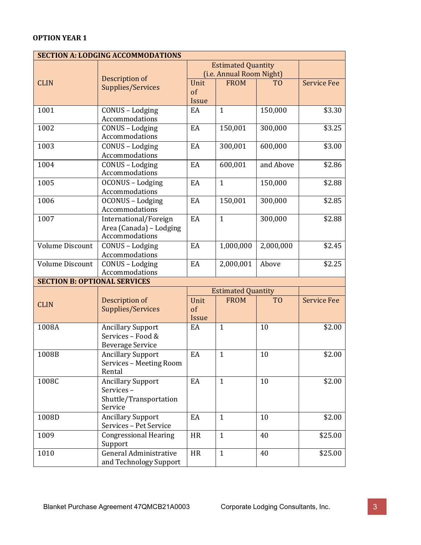|                                     | <b>SECTION A: LODGING ACCOMMODATIONS</b> |                          |                           |                |                    |
|-------------------------------------|------------------------------------------|--------------------------|---------------------------|----------------|--------------------|
|                                     |                                          |                          | <b>Estimated Quantity</b> |                |                    |
|                                     |                                          | (i.e. Annual Room Night) |                           |                |                    |
| <b>CLIN</b>                         | Description of                           | Unit                     | <b>FROM</b>               | T <sub>O</sub> | <b>Service Fee</b> |
|                                     | Supplies/Services                        | of                       |                           |                |                    |
|                                     |                                          | Issue                    |                           |                |                    |
| 1001                                | CONUS - Lodging                          | EA                       | $\mathbf{1}$              | 150,000        | \$3.30             |
|                                     | Accommodations                           |                          |                           |                |                    |
| 1002                                | CONUS - Lodging                          | EA                       | 150,001                   | 300,000        | \$3.25             |
|                                     | Accommodations                           |                          |                           |                |                    |
| 1003                                | CONUS - Lodging                          | EA                       | 300,001                   | 600,000        | \$3.00             |
|                                     | Accommodations                           |                          |                           |                |                    |
| 1004                                | CONUS - Lodging                          | EA                       | 600,001                   | and Above      | \$2.86             |
|                                     | Accommodations                           |                          |                           |                |                    |
| 1005                                | OCONUS - Lodging                         | EA                       | $\mathbf{1}$              | 150,000        | \$2.88             |
|                                     | Accommodations                           |                          |                           |                |                    |
| 1006                                | OCONUS - Lodging                         | EA                       | 150,001                   | 300,000        | \$2.85             |
|                                     | Accommodations                           |                          |                           |                |                    |
| 1007                                | International/Foreign                    | EA                       | $\mathbf{1}$              | 300,000        | \$2.88             |
|                                     | Area (Canada) - Lodging                  |                          |                           |                |                    |
|                                     | Accommodations                           |                          |                           |                |                    |
| <b>Volume Discount</b>              | CONUS - Lodging                          | EA                       | 1,000,000                 | 2,000,000      | \$2.45             |
|                                     | Accommodations                           |                          |                           |                |                    |
| <b>Volume Discount</b>              | CONUS - Lodging                          | EA                       | 2,000,001                 | Above          | \$2.25             |
|                                     | Accommodations                           |                          |                           |                |                    |
| <b>SECTION B: OPTIONAL SERVICES</b> |                                          |                          |                           |                |                    |
|                                     |                                          |                          | <b>Estimated Quantity</b> |                |                    |
|                                     | Description of                           | Unit                     | <b>FROM</b>               | T <sub>O</sub> | <b>Service Fee</b> |
| <b>CLIN</b>                         | Supplies/Services                        | $\sigma$                 |                           |                |                    |
|                                     |                                          | Issue                    |                           |                |                    |
| 1008A                               | <b>Ancillary Support</b>                 | EA                       | $\mathbf{1}$              | 10             | \$2.00             |
|                                     | Services - Food &                        |                          |                           |                |                    |
|                                     | <b>Beverage Service</b>                  |                          |                           |                |                    |
| 1008B                               | <b>Ancillary Support</b>                 | EA                       | $\mathbf{1}$              | 10             | \$2.00             |
|                                     | Services - Meeting Room                  |                          |                           |                |                    |
|                                     | Rental                                   |                          |                           |                |                    |
| 1008C                               | <b>Ancillary Support</b>                 | EA                       | $\mathbf{1}$              | 10             | \$2.00             |
|                                     | Services-                                |                          |                           |                |                    |
|                                     | Shuttle/Transportation                   |                          |                           |                |                    |
|                                     | Service                                  |                          |                           |                |                    |
| 1008D                               | <b>Ancillary Support</b>                 | EA                       | $\mathbf{1}$              | 10             | \$2.00             |
|                                     | Services - Pet Service                   |                          |                           |                |                    |
| 1009                                | <b>Congressional Hearing</b>             | <b>HR</b>                | $\mathbf{1}$              | 40             | \$25.00            |
|                                     | Support                                  |                          |                           |                |                    |
| 1010                                | General Administrative                   | HR                       | $\mathbf{1}$              | 40             | \$25.00            |
|                                     | and Technology Support                   |                          |                           |                |                    |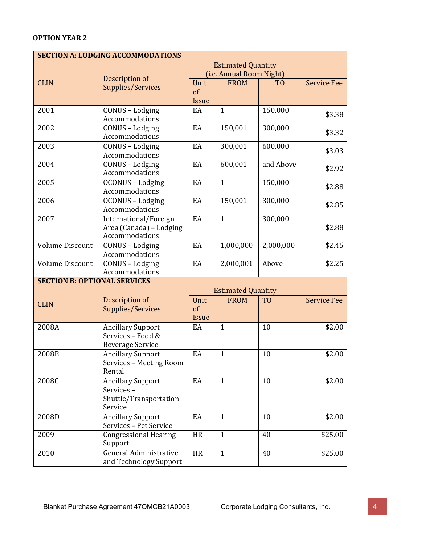| <b>SECTION A: LODGING ACCOMMODATIONS</b> |                              |                           |                           |                |                    |
|------------------------------------------|------------------------------|---------------------------|---------------------------|----------------|--------------------|
|                                          |                              | <b>Estimated Quantity</b> |                           |                |                    |
|                                          |                              |                           | (i.e. Annual Room Night)  |                |                    |
| <b>CLIN</b>                              | Description of               | Unit                      | <b>FROM</b>               | T <sub>0</sub> | <b>Service Fee</b> |
|                                          | Supplies/Services            | of                        |                           |                |                    |
|                                          |                              | Issue                     |                           |                |                    |
| 2001                                     | CONUS - Lodging              | EA                        | $\mathbf{1}$              | 150,000        |                    |
|                                          | Accommodations               |                           |                           |                | \$3.38             |
| 2002                                     | CONUS - Lodging              | EA                        | 150,001                   | 300,000        |                    |
|                                          | Accommodations               |                           |                           |                | \$3.32             |
| 2003                                     | CONUS - Lodging              | EA                        | 300,001                   | 600,000        |                    |
|                                          | Accommodations               |                           |                           |                | \$3.03             |
| 2004                                     | CONUS - Lodging              | EA                        | 600,001                   | and Above      |                    |
|                                          | Accommodations               |                           |                           |                | \$2.92             |
| 2005                                     | OCONUS - Lodging             | EA                        | $\mathbf{1}$              | 150,000        |                    |
|                                          | Accommodations               |                           |                           |                | \$2.88             |
| 2006                                     | OCONUS - Lodging             | EA                        | 150,001                   | 300,000        |                    |
|                                          | Accommodations               |                           |                           |                | \$2.85             |
| 2007                                     | International/Foreign        | EA                        | $\mathbf{1}$              | 300,000        |                    |
|                                          | Area (Canada) - Lodging      |                           |                           |                | \$2.88             |
|                                          | Accommodations               |                           |                           |                |                    |
| <b>Volume Discount</b>                   | CONUS - Lodging              | EA                        | 1,000,000                 | 2,000,000      | \$2.45             |
|                                          | Accommodations               |                           |                           |                |                    |
| <b>Volume Discount</b>                   | CONUS - Lodging              | EA                        | 2,000,001                 | Above          | \$2.25             |
|                                          | Accommodations               |                           |                           |                |                    |
| <b>SECTION B: OPTIONAL SERVICES</b>      |                              |                           |                           |                |                    |
|                                          |                              |                           | <b>Estimated Quantity</b> |                |                    |
|                                          | Description of               | Unit                      | <b>FROM</b>               | T <sub>O</sub> | <b>Service Fee</b> |
| <b>CLIN</b>                              | Supplies/Services            | of                        |                           |                |                    |
|                                          |                              | Issue                     |                           |                |                    |
| 2008A                                    | <b>Ancillary Support</b>     | EA                        | $\mathbf{1}$              | 10             | \$2.00             |
|                                          | Services - Food &            |                           |                           |                |                    |
|                                          | <b>Beverage Service</b>      |                           |                           |                |                    |
| 2008B                                    | <b>Ancillary Support</b>     | EA                        | $\mathbf{1}$              | 10             | \$2.00             |
|                                          | Services - Meeting Room      |                           |                           |                |                    |
|                                          | Rental                       |                           |                           |                |                    |
| 2008C                                    | <b>Ancillary Support</b>     | EA                        | $\mathbf{1}$              | 10             | \$2.00             |
|                                          | Services-                    |                           |                           |                |                    |
|                                          | Shuttle/Transportation       |                           |                           |                |                    |
|                                          | Service                      |                           |                           |                |                    |
| 2008D                                    | <b>Ancillary Support</b>     | EA                        | $\mathbf{1}$              | 10             | \$2.00             |
|                                          | Services - Pet Service       |                           |                           |                |                    |
| 2009                                     | <b>Congressional Hearing</b> | <b>HR</b>                 | $\mathbf{1}$              | 40             | \$25.00            |
|                                          | Support                      |                           |                           |                |                    |
| 2010                                     | General Administrative       | HR                        | $\mathbf{1}$              | 40             |                    |
|                                          |                              |                           |                           |                | \$25.00            |
|                                          | and Technology Support       |                           |                           |                |                    |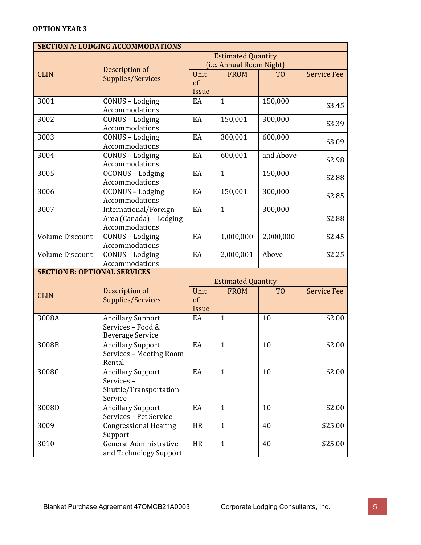|                                     | <b>SECTION A: LODGING ACCOMMODATIONS</b>      |                          |                           |                |                    |
|-------------------------------------|-----------------------------------------------|--------------------------|---------------------------|----------------|--------------------|
|                                     |                                               |                          | <b>Estimated Quantity</b> |                |                    |
|                                     |                                               | (i.e. Annual Room Night) |                           |                |                    |
| <b>CLIN</b>                         | Description of                                | Unit                     | <b>FROM</b>               | T <sub>O</sub> | <b>Service Fee</b> |
|                                     | <b>Supplies/Services</b>                      | of                       |                           |                |                    |
|                                     |                                               | Issue                    |                           |                |                    |
| 3001                                | CONUS - Lodging                               | EA                       | $\mathbf{1}$              | 150,000        | \$3.45             |
|                                     | Accommodations                                |                          |                           |                |                    |
| 3002                                | CONUS - Lodging                               | EA                       | 150,001                   | 300,000        | \$3.39             |
|                                     | Accommodations                                |                          |                           |                |                    |
| 3003                                | CONUS - Lodging                               | EA                       | 300,001                   | 600,000        | \$3.09             |
|                                     | Accommodations                                |                          |                           |                |                    |
| 3004                                | CONUS - Lodging                               | EA                       | 600,001                   | and Above      | \$2.98             |
|                                     | Accommodations                                |                          |                           |                |                    |
| 3005                                | OCONUS - Lodging                              | EA                       | $\mathbf{1}$              | 150,000        | \$2.88             |
|                                     | Accommodations                                |                          |                           |                |                    |
| 3006                                | OCONUS - Lodging                              | EA                       | 150,001                   | 300,000        | \$2.85             |
|                                     | Accommodations                                |                          |                           |                |                    |
| 3007                                | International/Foreign                         | EA                       | $\mathbf{1}$              | 300,000        |                    |
|                                     | Area (Canada) - Lodging                       |                          |                           |                | \$2.88             |
|                                     | Accommodations                                |                          |                           |                |                    |
| <b>Volume Discount</b>              | CONUS - Lodging                               | EA                       | 1,000,000                 | 2,000,000      | \$2.45             |
|                                     | Accommodations                                |                          |                           |                |                    |
| <b>Volume Discount</b>              | CONUS - Lodging                               | EA                       | 2,000,001                 | Above          | \$2.25             |
|                                     | Accommodations                                |                          |                           |                |                    |
| <b>SECTION B: OPTIONAL SERVICES</b> |                                               |                          |                           |                |                    |
|                                     |                                               |                          | <b>Estimated Quantity</b> |                |                    |
| <b>CLIN</b>                         | Description of                                | Unit                     | <b>FROM</b>               | T <sub>0</sub> | <b>Service Fee</b> |
|                                     | <b>Supplies/Services</b>                      | of                       |                           |                |                    |
| 3008A                               |                                               | Issue                    | $\mathbf{1}$              | 10             |                    |
|                                     | <b>Ancillary Support</b><br>Services - Food & | EA                       |                           |                | \$2.00             |
|                                     | <b>Beverage Service</b>                       |                          |                           |                |                    |
| 3008B                               | <b>Ancillary Support</b>                      | EA                       | $\mathbf{1}$              | 10             | \$2.00             |
|                                     | Services - Meeting Room                       |                          |                           |                |                    |
|                                     | Rental                                        |                          |                           |                |                    |
| 3008C                               | <b>Ancillary Support</b>                      | EA                       | $\mathbf{1}$              | 10             | \$2.00             |
|                                     | Services-                                     |                          |                           |                |                    |
|                                     | Shuttle/Transportation                        |                          |                           |                |                    |
|                                     | Service                                       |                          |                           |                |                    |
| 3008D                               | <b>Ancillary Support</b>                      | EA                       | $\mathbf{1}$              | 10             | \$2.00             |
|                                     | Services - Pet Service                        |                          |                           |                |                    |
| 3009                                | <b>Congressional Hearing</b>                  | HR                       | $\mathbf{1}$              | 40             | \$25.00            |
|                                     | Support                                       |                          |                           |                |                    |
| 3010                                | <b>General Administrative</b>                 | HR                       | $\mathbf{1}$              | 40             | \$25.00            |
|                                     | and Technology Support                        |                          |                           |                |                    |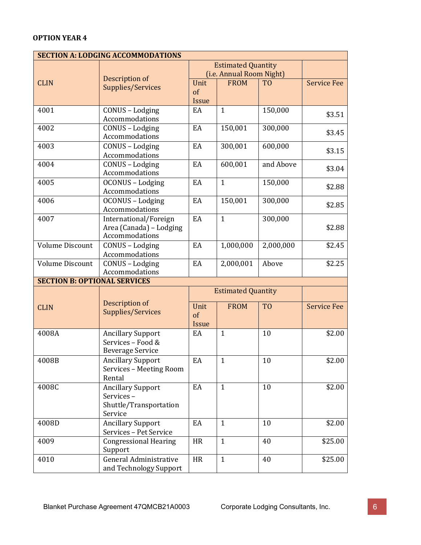| <b>SECTION A: LODGING ACCOMMODATIONS</b> |                                   |                           |                           |                |                    |
|------------------------------------------|-----------------------------------|---------------------------|---------------------------|----------------|--------------------|
|                                          |                                   | <b>Estimated Quantity</b> |                           |                |                    |
|                                          | Description of                    | (i.e. Annual Room Night)  |                           |                |                    |
| <b>CLIN</b>                              | Supplies/Services                 | Unit                      | <b>FROM</b>               | T <sub>0</sub> | <b>Service Fee</b> |
|                                          |                                   | of                        |                           |                |                    |
|                                          |                                   | Issue                     |                           |                |                    |
| 4001                                     | CONUS - Lodging                   | EA                        | $\mathbf{1}$              | 150,000        | \$3.51             |
|                                          | Accommodations                    |                           |                           |                |                    |
| 4002                                     | CONUS - Lodging                   | EA                        | 150,001                   | 300,000        | \$3.45             |
|                                          | Accommodations                    |                           |                           |                |                    |
| 4003                                     | CONUS - Lodging                   | EA                        | 300,001                   | 600,000        | \$3.15             |
|                                          | Accommodations                    |                           |                           |                |                    |
| 4004                                     | CONUS - Lodging<br>Accommodations | EA                        | 600,001                   | and Above      | \$3.04             |
| 4005                                     | OCONUS - Lodging                  | EA                        | $\mathbf{1}$              | 150,000        |                    |
|                                          | Accommodations                    |                           |                           |                | \$2.88             |
| 4006                                     | OCONUS - Lodging                  | EA                        | 150,001                   | 300,000        |                    |
|                                          | Accommodations                    |                           |                           |                | \$2.85             |
| 4007                                     | International/Foreign             | EA                        | $\mathbf{1}$              | 300,000        |                    |
|                                          | Area (Canada) - Lodging           |                           |                           |                | \$2.88             |
|                                          | Accommodations                    |                           |                           |                |                    |
| <b>Volume Discount</b>                   | CONUS - Lodging                   | EA                        | 1,000,000                 | 2,000,000      | \$2.45             |
|                                          | Accommodations                    |                           |                           |                |                    |
| <b>Volume Discount</b>                   | CONUS - Lodging                   | EA                        | 2,000,001                 | Above          | \$2.25             |
|                                          | Accommodations                    |                           |                           |                |                    |
| <b>SECTION B: OPTIONAL SERVICES</b>      |                                   |                           |                           |                |                    |
|                                          |                                   |                           | <b>Estimated Quantity</b> |                |                    |
|                                          | Description of                    | Unit                      |                           | T <sub>O</sub> | <b>Service Fee</b> |
| <b>CLIN</b>                              | Supplies/Services                 | of                        | <b>FROM</b>               |                |                    |
|                                          |                                   | Issue                     |                           |                |                    |
| 4008A                                    | <b>Ancillary Support</b>          | EA                        | $\mathbf{1}$              | 10             | \$2.00             |
|                                          | Services - Food &                 |                           |                           |                |                    |
|                                          | <b>Beverage Service</b>           |                           |                           |                |                    |
| 4008B                                    | Ancillary Support                 | EA                        | $\mathbf{1}$              | $10\,$         | \$2.00             |
|                                          | Services - Meeting Room           |                           |                           |                |                    |
|                                          | Rental                            |                           |                           |                |                    |
| 4008C                                    | <b>Ancillary Support</b>          | EA                        | $\mathbf{1}$              | 10             | \$2.00             |
|                                          | Services-                         |                           |                           |                |                    |
|                                          | Shuttle/Transportation            |                           |                           |                |                    |
|                                          | Service                           |                           |                           |                |                    |
| 4008D                                    | <b>Ancillary Support</b>          | EA                        | $\mathbf{1}$              | 10             | \$2.00             |
|                                          | Services - Pet Service            |                           |                           |                |                    |
| 4009                                     | <b>Congressional Hearing</b>      | <b>HR</b>                 | $\mathbf{1}$              | 40             | \$25.00            |
|                                          | Support                           |                           |                           |                |                    |
| 4010                                     | General Administrative            | HR                        | $\mathbf{1}$              | 40             | \$25.00            |
|                                          | and Technology Support            |                           |                           |                |                    |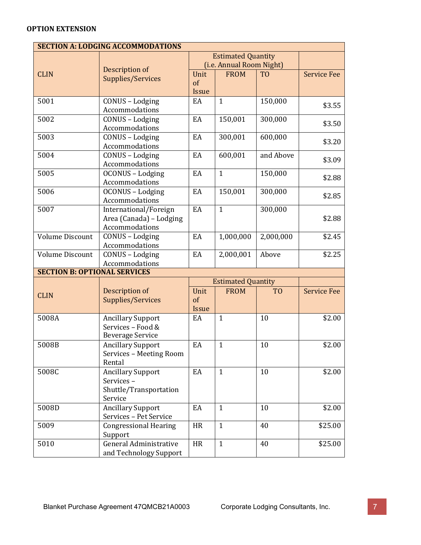#### **OPTION EXTENSION**

|                                     | <b>SECTION A: LODGING ACCOMMODATIONS</b> |                          |                           |                |                    |
|-------------------------------------|------------------------------------------|--------------------------|---------------------------|----------------|--------------------|
|                                     |                                          |                          | <b>Estimated Quantity</b> |                |                    |
|                                     |                                          | (i.e. Annual Room Night) |                           |                |                    |
| <b>CLIN</b>                         | Description of                           | Unit                     | <b>FROM</b>               | T <sub>O</sub> | <b>Service Fee</b> |
|                                     | <b>Supplies/Services</b>                 | $\sigma$                 |                           |                |                    |
|                                     |                                          | Issue                    |                           |                |                    |
| 5001                                | CONUS - Lodging                          | EA                       | $\mathbf{1}$              | 150,000        | \$3.55             |
|                                     | Accommodations                           |                          |                           |                |                    |
| 5002                                | CONUS - Lodging                          | EA                       | 150,001                   | 300,000        | \$3.50             |
|                                     | Accommodations                           |                          |                           |                |                    |
| 5003                                | CONUS - Lodging                          | EA                       | 300,001                   | 600,000        | \$3.20             |
|                                     | Accommodations                           |                          |                           |                |                    |
| 5004                                | CONUS - Lodging                          | EA                       | 600,001                   | and Above      | \$3.09             |
|                                     | Accommodations                           |                          |                           |                |                    |
| 5005                                | <b>OCONUS</b> - Lodging                  | EA                       | $\mathbf{1}$              | 150,000        | \$2.88             |
|                                     | Accommodations                           |                          |                           |                |                    |
| 5006                                | OCONUS - Lodging                         | EA                       | 150,001                   | 300,000        | \$2.85             |
|                                     | Accommodations                           |                          |                           |                |                    |
| 5007                                | International/Foreign                    | EA                       | $\mathbf{1}$              | 300,000        |                    |
|                                     | Area (Canada) - Lodging                  |                          |                           |                | \$2.88             |
|                                     | Accommodations                           |                          |                           |                |                    |
| <b>Volume Discount</b>              | CONUS - Lodging                          | EA                       | 1,000,000                 | 2,000,000      | \$2.45             |
|                                     | Accommodations                           |                          |                           |                |                    |
| <b>Volume Discount</b>              | CONUS - Lodging                          | EA                       | 2,000,001                 | Above          | \$2.25             |
|                                     | Accommodations                           |                          |                           |                |                    |
| <b>SECTION B: OPTIONAL SERVICES</b> |                                          |                          |                           |                |                    |
|                                     |                                          |                          | <b>Estimated Quantity</b> |                |                    |
| <b>CLIN</b>                         | Description of                           | Unit                     | <b>FROM</b>               | T <sub>0</sub> | <b>Service Fee</b> |
|                                     | <b>Supplies/Services</b>                 | of                       |                           |                |                    |
|                                     |                                          | Issue                    |                           |                |                    |
| 5008A                               | <b>Ancillary Support</b>                 | EA                       | $\mathbf{1}$              | 10             | \$2.00             |
|                                     | Services - Food &                        |                          |                           |                |                    |
|                                     | <b>Beverage Service</b>                  |                          |                           |                |                    |
| 5008B                               | <b>Ancillary Support</b>                 | EA                       | $\mathbf{1}$              | 10             | \$2.00             |
|                                     | Services - Meeting Room                  |                          |                           |                |                    |
|                                     | Rental                                   |                          |                           |                |                    |
| 5008C                               | <b>Ancillary Support</b>                 | EA                       | $\mathbf{1}$              | 10             | \$2.00             |
|                                     | Services-                                |                          |                           |                |                    |
|                                     | Shuttle/Transportation                   |                          |                           |                |                    |
|                                     | Service                                  |                          |                           |                |                    |
| 5008D                               | <b>Ancillary Support</b>                 | EA                       | $\mathbf{1}$              | 10             | \$2.00             |
|                                     | Services - Pet Service                   |                          |                           |                |                    |
| 5009                                | <b>Congressional Hearing</b>             | <b>HR</b>                | $\mathbf{1}$              | 40             | \$25.00            |
|                                     | Support                                  |                          |                           |                |                    |
| 5010                                | <b>General Administrative</b>            | HR                       | $\mathbf{1}$              | 40             | \$25.00            |
|                                     | and Technology Support                   |                          |                           |                |                    |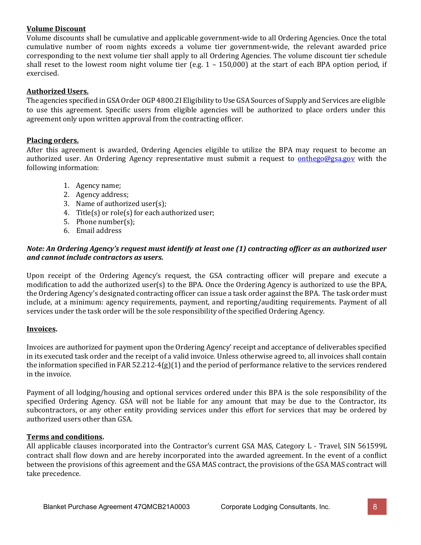#### **Volume Discount**

Volume discounts shall be cumulative and applicable government-wide to all Ordering Agencies. Once the total cumulative number of room nights exceeds a volume tier government-wide, the relevant awarded price corresponding to the next volume tier shall apply to all Ordering Agencies. The volume discount tier schedule shall reset to the lowest room night volume tier (e.g. 1 – 150,000) at the start of each BPA option period, if exercised.

#### **Authorized Users.**

The agencies specified in GSAOrder OGP 4800.2I Eligibility to Use GSA Sources of Supply and Services are eligible to use this agreement. Specific users from eligible agencies will be authorized to place orders under this agreement only upon written approval from the contracting officer.

#### **Placing orders.**

After this agreement is awarded, Ordering Agencies eligible to utilize the BPA may request to become an authorized user. An Ordering Agency representative must submit a request to **[onthego@gsa.gov](mailto:emailsonthego@gsa.gov)** with the following information:

- 1. Agency name;
- 2. Agency address;
- 3. Name of authorized user(s);
- 4. Title(s) or role(s) for each authorized user;
- 5. Phone number(s);
- 6. Email address

#### *Note: An Ordering Agency's request must identify at least one (1) contracting officer as an authorized user and cannot include contractors as users.*

Upon receipt of the Ordering Agency's request, the GSA contracting officer will prepare and execute a modification to add the authorized user(s) to the BPA. Once the Ordering Agency is authorized to use the BPA, the Ordering Agency's designated contracting officer can issue a task order against the BPA. The task order must include, at a minimum: agency requirements, payment, and reporting/auditing requirements. Payment of all services under the task order will be the sole responsibility of the specified Ordering Agency.

#### **Invoices.**

Invoices are authorized for payment upon the Ordering Agency' receipt and acceptance of deliverables specified in its executed task order and the receipt of a valid invoice. Unless otherwise agreed to, all invoices shall contain the information specified in FAR 52.212-4(g)(1) and the period of performance relative to the services rendered in the invoice.

Payment of all lodging/housing and optional services ordered under this BPA is the sole responsibility of the specified Ordering Agency. GSA will not be liable for any amount that may be due to the Contractor, its subcontractors, or any other entity providing services under this effort for services that may be ordered by authorized users other than GSA.

#### **Terms and conditions.**

All applicable clauses incorporated into the Contractor's current GSA MAS, Category L - Travel, SIN 561599L contract shall flow down and are hereby incorporated into the awarded agreement. In the event of a conflict between the provisions of this agreement and the GSA MAS contract, the provisions of the GSA MAS contract will take precedence.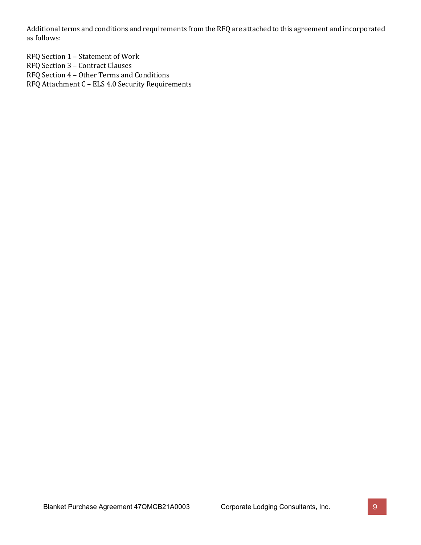Additional terms and conditions and requirements from the RFQ are attached to this agreement and incorporated as follows:

RFQ Section 1 – Statement of Work RFQ Section 3 – Contract Clauses RFQ Section 4 – Other Terms and Conditions RFQ Attachment C – ELS 4.0 Security Requirements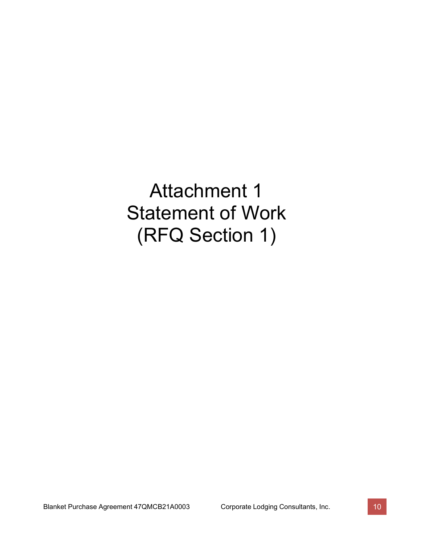Attachment 1 Statement of Work (RFQ Section 1)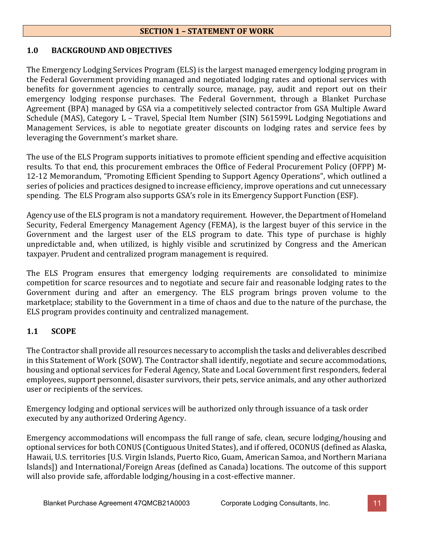#### **SECTION 1 – STATEMENT OF WORK**

#### **1.0 BACKGROUND AND OBJECTIVES**

The Emergency Lodging Services Program (ELS) is the largest managed emergency lodging program in the Federal Government providing managed and negotiated lodging rates and optional services with benefits for government agencies to centrally source, manage, pay, audit and report out on their emergency lodging response purchases. The Federal Government, through a Blanket Purchase Agreement (BPA) managed by GSA via a competitively selected contractor from GSA Multiple Award Schedule (MAS), Category L – Travel, Special Item Number (SIN) 561599L Lodging Negotiations and Management Services, is able to negotiate greater discounts on lodging rates and service fees by leveraging the Government's market share.

The use of the ELS Program supports initiatives to promote efficient spending and effective acquisition results. To that end, this procurement embraces the Office of Federal Procurement Policy (OFPP) M-12-12 Memorandum, "Promoting Efficient Spending to Support Agency Operations", which outlined a series of policies and practices designed to increase efficiency, improve operations and cut unnecessary spending. The ELS Program also supports GSA's role in its Emergency Support Function (ESF).

Agency use of the ELS program is not a mandatory requirement. However, the Department of Homeland Security, Federal Emergency Management Agency (FEMA), is the largest buyer of this service in the Government and the largest user of the ELS program to date. This type of purchase is highly unpredictable and, when utilized, is highly visible and scrutinized by Congress and the American taxpayer. Prudent and centralized program management is required.

The ELS Program ensures that emergency lodging requirements are consolidated to minimize competition for scarce resources and to negotiate and secure fair and reasonable lodging rates to the Government during and after an emergency. The ELS program brings proven volume to the marketplace; stability to the Government in a time of chaos and due to the nature of the purchase, the ELS program provides continuity and centralized management.

# **1.1 SCOPE**

The Contractor shall provide all resources necessary to accomplish the tasks and deliverables described in this Statement of Work (SOW). The Contractor shall identify, negotiate and secure accommodations, housing and optional services for Federal Agency, State and Local Government first responders, federal employees, support personnel, disaster survivors, their pets, service animals, and any other authorized user or recipients of the services.

Emergency lodging and optional services will be authorized only through issuance of a task order executed by any authorized Ordering Agency.

Emergency accommodations will encompass the full range of safe, clean, secure lodging/housing and optional services for both CONUS (Contiguous United States), and if offered, OCONUS (defined as Alaska, Hawaii, U.S. territories [U.S. Virgin Islands, Puerto Rico, Guam, American Samoa, and Northern Mariana Islands]) and International/Foreign Areas (defined as Canada) locations. The outcome of this support will also provide safe, affordable lodging/housing in a cost-effective manner.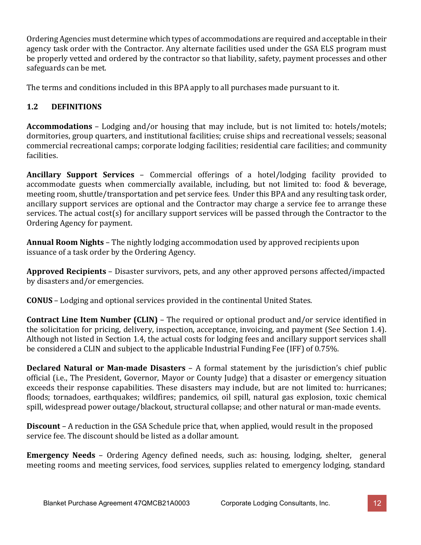Ordering Agencies must determine which types of accommodations are required and acceptable in their agency task order with the Contractor. Any alternate facilities used under the GSA ELS program must be properly vetted and ordered by the contractor so that liability, safety, payment processes and other safeguards can be met.

The terms and conditions included in this BPA apply to all purchases made pursuant to it.

# **1.2 DEFINITIONS**

**Accommodations** – Lodging and/or housing that may include, but is not limited to: hotels/motels; dormitories, group quarters, and institutional facilities; cruise ships and recreational vessels; seasonal commercial recreational camps; corporate lodging facilities; residential care facilities; and community facilities.

**Ancillary Support Services** – Commercial offerings of a hotel/lodging facility provided to accommodate guests when commercially available, including, but not limited to: food & beverage, meeting room, shuttle/transportation and pet service fees. Under this BPA and any resulting task order, ancillary support services are optional and the Contractor may charge a service fee to arrange these services. The actual cost(s) for ancillary support services will be passed through the Contractor to the Ordering Agency for payment.

**Annual Room Nights** – The nightly lodging accommodation used by approved recipients upon issuance of a task order by the Ordering Agency.

**Approved Recipients** – Disaster survivors, pets, and any other approved persons affected/impacted by disasters and/or emergencies.

**CONUS** – Lodging and optional services provided in the continental United States.

**Contract Line Item Number (CLIN)** – The required or optional product and/or service identified in the solicitation for pricing, delivery, inspection, acceptance, invoicing, and payment (See Section 1.4). Although not listed in Section 1.4, the actual costs for lodging fees and ancillary support services shall be considered a CLIN and subject to the applicable Industrial Funding Fee (IFF) of 0.75%.

**Declared Natural or Man-made Disasters** – A formal statement by the jurisdiction's chief public official (i.e., The President, Governor, Mayor or County Judge) that a disaster or emergency situation exceeds their response capabilities. These disasters may include, but are not limited to: hurricanes; floods; tornadoes, earthquakes; wildfires; pandemics, oil spill, natural gas explosion, toxic chemical spill, widespread power outage/blackout, structural collapse; and other natural or man-made events.

**Discount** – A reduction in the GSA Schedule price that, when applied, would result in the proposed service fee. The discount should be listed as a dollar amount.

**Emergency Needs** – Ordering Agency defined needs, such as: housing, lodging, shelter, general meeting rooms and meeting services, food services, supplies related to emergency lodging, standard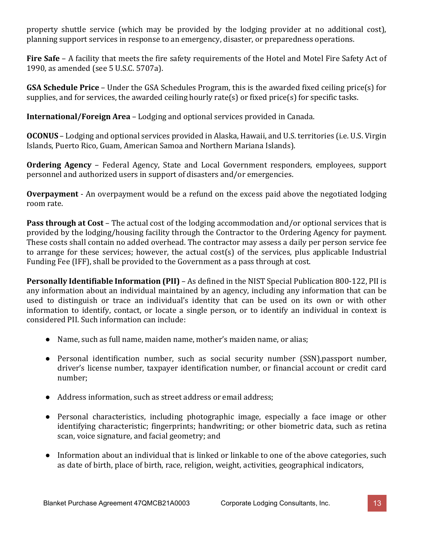property shuttle service (which may be provided by the lodging provider at no additional cost), planning support services in response to an emergency, disaster, or preparedness operations.

**Fire Safe** – A facility that meets the fire safety requirements of the Hotel and Motel Fire Safety Act of 1990, as amended (see 5 U.S.C. 5707a).

**GSA Schedule Price** – Under the GSA Schedules Program, this is the awarded fixed ceiling price(s) for supplies, and for services, the awarded ceiling hourly rate(s) or fixed price(s) for specific tasks.

**International/Foreign Area** – Lodging and optional services provided in Canada.

**OCONUS** – Lodging and optional services provided in Alaska, Hawaii, and U.S. territories (i.e. U.S. Virgin Islands, Puerto Rico, Guam, American Samoa and Northern Mariana Islands).

**Ordering Agency** – Federal Agency, State and Local Government responders, employees, support personnel and authorized users in support of disasters and/or emergencies.

**Overpayment** - An overpayment would be a refund on the excess paid above the negotiated lodging room rate.

**Pass through at Cost** – The actual cost of the lodging accommodation and/or optional services that is provided by the lodging/housing facility through the Contractor to the Ordering Agency for payment. These costs shall contain no added overhead. The contractor may assess a daily per person service fee to arrange for these services; however, the actual cost(s) of the services, plus applicable Industrial Funding Fee (IFF), shall be provided to the Government as a pass through at cost.

**Personally Identifiable Information (PII)** – As defined in the NIST Special Publication 800-122, PII is any information about an individual maintained by an agency, including any information that can be used to distinguish or trace an individual's identity that can be used on its own or with other information to identify, contact, or locate a single person, or to identify an individual in context is considered PII. Such information can include:

- Name, such as full name, maiden name, mother's maiden name, or alias;
- Personal identification number, such as social security number (SSN),passport number, driver's license number, taxpayer identification number, or financial account or credit card number;
- Address information, such as street address or email address;
- Personal characteristics, including photographic image, especially a face image or other identifying characteristic; fingerprints; handwriting; or other biometric data, such as retina scan, voice signature, and facial geometry; and
- Information about an individual that is linked or linkable to one of the above categories, such as date of birth, place of birth, race, religion, weight, activities, geographical indicators,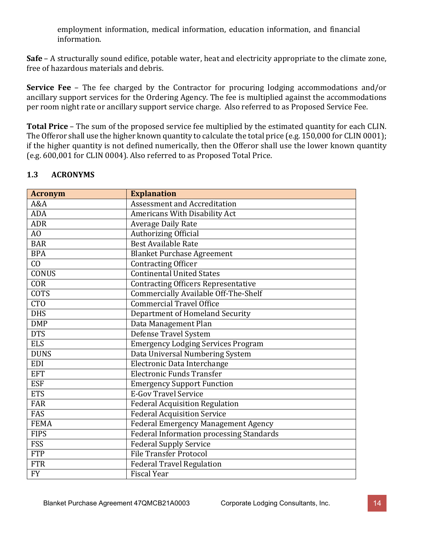employment information, medical information, education information, and financial information.

**Safe** – A structurally sound edifice, potable water, heat and electricity appropriate to the climate zone, free of hazardous materials and debris.

**Service Fee** – The fee charged by the Contractor for procuring lodging accommodations and/or ancillary support services for the Ordering Agency. The fee is multiplied against the accommodations per room night rate or ancillary support service charge. Also referred to as Proposed Service Fee.

**Total Price** – The sum of the proposed service fee multiplied by the estimated quantity for each CLIN. The Offeror shall use the higher known quantity to calculate the total price (e.g. 150,000 for CLIN 0001); if the higher quantity is not defined numerically, then the Offeror shall use the lower known quantity (e.g. 600,001 for CLIN 0004). Also referred to as Proposed Total Price.

## **1.3 ACRONYMS**

| <b>Acronym</b>  | <b>Explanation</b>                              |
|-----------------|-------------------------------------------------|
| A&A             | <b>Assessment and Accreditation</b>             |
| <b>ADA</b>      | Americans With Disability Act                   |
| <b>ADR</b>      | <b>Average Daily Rate</b>                       |
| $\overline{AO}$ | <b>Authorizing Official</b>                     |
| <b>BAR</b>      | <b>Best Available Rate</b>                      |
| <b>BPA</b>      | <b>Blanket Purchase Agreement</b>               |
| CO              | <b>Contracting Officer</b>                      |
| <b>CONUS</b>    | <b>Continental United States</b>                |
| COR             | <b>Contracting Officers Representative</b>      |
| <b>COTS</b>     | Commercially Available Off-The-Shelf            |
| CT <sub>0</sub> | <b>Commercial Travel Office</b>                 |
| <b>DHS</b>      | Department of Homeland Security                 |
| <b>DMP</b>      | Data Management Plan                            |
| <b>DTS</b>      | <b>Defense Travel System</b>                    |
| <b>ELS</b>      | <b>Emergency Lodging Services Program</b>       |
| <b>DUNS</b>     | Data Universal Numbering System                 |
| <b>EDI</b>      | Electronic Data Interchange                     |
| <b>EFT</b>      | <b>Electronic Funds Transfer</b>                |
| <b>ESF</b>      | <b>Emergency Support Function</b>               |
| <b>ETS</b>      | <b>E-Gov Travel Service</b>                     |
| <b>FAR</b>      | <b>Federal Acquisition Regulation</b>           |
| <b>FAS</b>      | <b>Federal Acquisition Service</b>              |
| <b>FEMA</b>     | <b>Federal Emergency Management Agency</b>      |
| <b>FIPS</b>     | <b>Federal Information processing Standards</b> |
| <b>FSS</b>      | <b>Federal Supply Service</b>                   |
| <b>FTP</b>      | <b>File Transfer Protocol</b>                   |
| <b>FTR</b>      | <b>Federal Travel Regulation</b>                |
| <b>FY</b>       | <b>Fiscal Year</b>                              |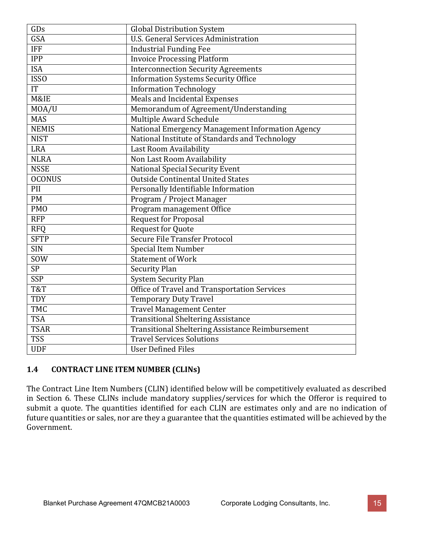| GDs                    | <b>Global Distribution System</b>                |
|------------------------|--------------------------------------------------|
| GSA                    | <b>U.S. General Services Administration</b>      |
| <b>IFF</b>             | <b>Industrial Funding Fee</b>                    |
| <b>IPP</b>             | <b>Invoice Processing Platform</b>               |
| <b>ISA</b>             | <b>Interconnection Security Agreements</b>       |
| <b>ISSO</b>            | <b>Information Systems Security Office</b>       |
| $\overline{\text{IT}}$ | <b>Information Technology</b>                    |
| M&IE                   | <b>Meals and Incidental Expenses</b>             |
| MOA/U                  | Memorandum of Agreement/Understanding            |
| <b>MAS</b>             | <b>Multiple Award Schedule</b>                   |
| <b>NEMIS</b>           | National Emergency Management Information Agency |
| <b>NIST</b>            | National Institute of Standards and Technology   |
| <b>LRA</b>             | Last Room Availability                           |
| <b>NLRA</b>            | Non Last Room Availability                       |
| <b>NSSE</b>            | <b>National Special Security Event</b>           |
| <b>OCONUS</b>          | <b>Outside Continental United States</b>         |
| PII                    | Personally Identifiable Information              |
| <b>PM</b>              | Program / Project Manager                        |
| <b>PMO</b>             | Program management Office                        |
| <b>RFP</b>             | <b>Request for Proposal</b>                      |
| <b>RFO</b>             | <b>Request for Quote</b>                         |
| <b>SFTP</b>            | Secure File Transfer Protocol                    |
| <b>SIN</b>             | <b>Special Item Number</b>                       |
| SOW                    | <b>Statement of Work</b>                         |
| <b>SP</b>              | <b>Security Plan</b>                             |
| SSP                    | <b>System Security Plan</b>                      |
| T&T                    | Office of Travel and Transportation Services     |
| <b>TDY</b>             | <b>Temporary Duty Travel</b>                     |
| <b>TMC</b>             | <b>Travel Management Center</b>                  |
| <b>TSA</b>             | <b>Transitional Sheltering Assistance</b>        |
| <b>TSAR</b>            | Transitional Sheltering Assistance Reimbursement |
| <b>TSS</b>             | <b>Travel Services Solutions</b>                 |
| <b>UDF</b>             | <b>User Defined Files</b>                        |

# **1.4 CONTRACT LINE ITEM NUMBER (CLINs)**

The Contract Line Item Numbers (CLIN) identified below will be competitively evaluated as described in Section 6. These CLINs include mandatory supplies/services for which the Offeror is required to submit a quote. The quantities identified for each CLIN are estimates only and are no indication of future quantities or sales, nor are they a guarantee that the quantities estimated will be achieved by the Government.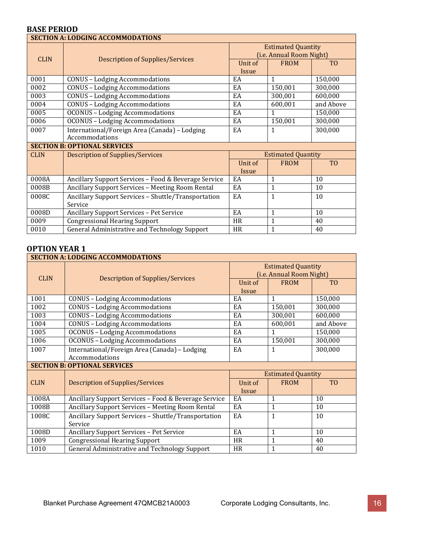### **BASE PERIOD**

| <b>SECTION A: LODGING ACCOMMODATIONS</b> |                                                                 |                                                       |                           |                |  |
|------------------------------------------|-----------------------------------------------------------------|-------------------------------------------------------|---------------------------|----------------|--|
|                                          |                                                                 | <b>Estimated Quantity</b><br>(i.e. Annual Room Night) |                           |                |  |
| <b>CLIN</b>                              | <b>Description of Supplies/Services</b>                         | Unit of<br><b>Issue</b>                               | <b>FROM</b>               | T <sub>O</sub> |  |
| 0001                                     | <b>CONUS - Lodging Accommodations</b>                           | EA                                                    | 1                         | 150,000        |  |
| 0002                                     | <b>CONUS - Lodging Accommodations</b>                           | EA                                                    | 150,001                   | 300,000        |  |
| 0003                                     | <b>CONUS - Lodging Accommodations</b>                           | EA                                                    | 300,001                   | 600,000        |  |
| 0004                                     | <b>CONUS - Lodging Accommodations</b>                           | EA                                                    | 600,001                   | and Above      |  |
| 0005                                     | <b>OCONUS - Lodging Accommodations</b>                          | EA                                                    | 1                         | 150,000        |  |
| 0006                                     | <b>OCONUS - Lodging Accommodations</b>                          | EA                                                    | 150,001                   | 300,000        |  |
| 0007                                     | International/Foreign Area (Canada) - Lodging<br>Accommodations | EA                                                    | $\mathbf{1}$              | 300,000        |  |
|                                          | <b>SECTION B: OPTIONAL SERVICES</b>                             |                                                       |                           |                |  |
| <b>CLIN</b>                              | <b>Description of Supplies/Services</b>                         |                                                       | <b>Estimated Quantity</b> |                |  |
|                                          |                                                                 | Unit of                                               | <b>FROM</b>               | T <sub>0</sub> |  |
|                                          |                                                                 | Issue                                                 |                           |                |  |
| 0008A                                    | Ancillary Support Services - Food & Beverage Service            | EA                                                    | $\mathbf{1}$              | 10             |  |
| 0008B                                    | Ancillary Support Services - Meeting Room Rental                | EA                                                    | 1                         | 10             |  |
| 0008C                                    | Ancillary Support Services - Shuttle/Transportation             | EA                                                    | 1                         | 10             |  |
|                                          | Service                                                         |                                                       |                           |                |  |
| 0008D                                    | Ancillary Support Services - Pet Service                        | EA                                                    | 1                         | 10             |  |
| 0009                                     | <b>Congressional Hearing Support</b>                            | <b>HR</b>                                             | 1                         | 40             |  |
| 0010                                     | <b>General Administrative and Technology Support</b>            | <b>HR</b>                                             | 1                         | 40             |  |

|             | <b>SECTION A: LODGING ACCOMMODATIONS</b>             |                                                       |                           |                |  |  |
|-------------|------------------------------------------------------|-------------------------------------------------------|---------------------------|----------------|--|--|
|             | <b>Description of Supplies/Services</b>              | <b>Estimated Quantity</b><br>(i.e. Annual Room Night) |                           |                |  |  |
| <b>CLIN</b> |                                                      | Unit of<br><b>Issue</b>                               | <b>FROM</b>               | T <sub>O</sub> |  |  |
| 1001        | <b>CONUS - Lodging Accommodations</b>                | EA                                                    | 1                         | 150,000        |  |  |
| 1002        | <b>CONUS - Lodging Accommodations</b>                | EA                                                    | 150,001                   | 300,000        |  |  |
| 1003        | <b>CONUS - Lodging Accommodations</b>                | EA                                                    | 300,001                   | 600,000        |  |  |
| 1004        | <b>CONUS - Lodging Accommodations</b>                | EA                                                    | 600,001                   | and Above      |  |  |
| 1005        | <b>OCONUS - Lodging Accommodations</b>               | EA                                                    | 1                         | 150,000        |  |  |
| 1006        | <b>OCONUS - Lodging Accommodations</b>               | EA                                                    | 150,001                   | 300,000        |  |  |
| 1007        | International/Foreign Area (Canada) - Lodging        | EA                                                    | 1                         | 300,000        |  |  |
|             | Accommodations                                       |                                                       |                           |                |  |  |
|             | <b>SECTION B: OPTIONAL SERVICES</b>                  |                                                       |                           |                |  |  |
|             |                                                      |                                                       | <b>Estimated Quantity</b> |                |  |  |
| <b>CLIN</b> | <b>Description of Supplies/Services</b>              | Unit of                                               | <b>FROM</b>               | T <sub>0</sub> |  |  |
|             |                                                      | <b>Issue</b>                                          |                           |                |  |  |
| 1008A       | Ancillary Support Services - Food & Beverage Service | EA                                                    | $\mathbf{1}$              | 10             |  |  |
| 1008B       | Ancillary Support Services - Meeting Room Rental     | EA                                                    | $\mathbf{1}$              | 10             |  |  |
| 1008C       | Ancillary Support Services - Shuttle/Transportation  | EA                                                    | 1                         | 10             |  |  |
|             | Service                                              |                                                       |                           |                |  |  |
| 1008D       | <b>Ancillary Support Services - Pet Service</b>      | EA                                                    | 1                         | 10             |  |  |
| 1009        | <b>Congressional Hearing Support</b>                 | <b>HR</b>                                             | $\mathbf{1}$              | 40             |  |  |
| 1010        | General Administrative and Technology Support        | HR                                                    | $\mathbf{1}$              | 40             |  |  |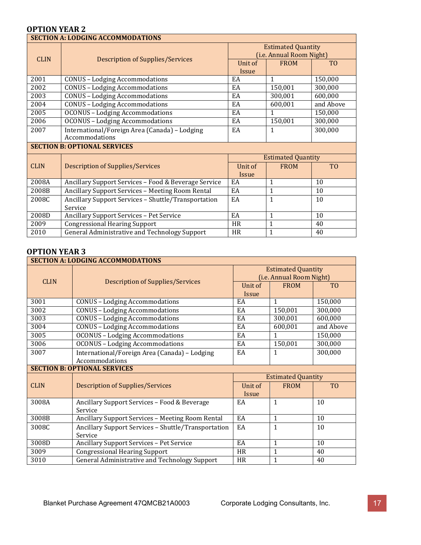|             | <b>SECTION A: LODGING ACCOMMODATIONS</b>                        |                                                       |                           |                |  |  |
|-------------|-----------------------------------------------------------------|-------------------------------------------------------|---------------------------|----------------|--|--|
|             |                                                                 | <b>Estimated Quantity</b><br>(i.e. Annual Room Night) |                           |                |  |  |
| <b>CLIN</b> | Description of Supplies/Services                                | Unit of<br><b>Issue</b>                               | <b>FROM</b>               | T <sub>0</sub> |  |  |
| 2001        | <b>CONUS - Lodging Accommodations</b>                           | EA                                                    | $\mathbf{1}$              | 150,000        |  |  |
| 2002        | <b>CONUS - Lodging Accommodations</b>                           | EA                                                    | 150,001                   | 300,000        |  |  |
| 2003        | <b>CONUS - Lodging Accommodations</b>                           | EA                                                    | 300,001                   | 600,000        |  |  |
| 2004        | <b>CONUS - Lodging Accommodations</b>                           | EA                                                    | 600,001                   | and Above      |  |  |
| 2005        | <b>OCONUS - Lodging Accommodations</b>                          | EA                                                    | 1                         | 150,000        |  |  |
| 2006        | <b>OCONUS - Lodging Accommodations</b>                          | EA                                                    | 150,001                   | 300,000        |  |  |
| 2007        | International/Foreign Area (Canada) - Lodging<br>Accommodations | EA                                                    | 1                         | 300,000        |  |  |
|             | <b>SECTION B: OPTIONAL SERVICES</b>                             |                                                       |                           |                |  |  |
|             |                                                                 |                                                       | <b>Estimated Quantity</b> |                |  |  |
| <b>CLIN</b> | <b>Description of Supplies/Services</b>                         | Unit of                                               | <b>FROM</b>               | T <sub>0</sub> |  |  |
|             |                                                                 | <i>Issue</i>                                          |                           |                |  |  |
| 2008A       | Ancillary Support Services - Food & Beverage Service            | EA                                                    | 1                         | 10             |  |  |
| 2008B       | Ancillary Support Services - Meeting Room Rental                | EA                                                    | $\mathbf{1}$              | 10             |  |  |
| 2008C       | Ancillary Support Services - Shuttle/Transportation             | EA                                                    | 1                         | 10             |  |  |
|             | Service                                                         |                                                       |                           |                |  |  |
| 2008D       | Ancillary Support Services - Pet Service                        | EA                                                    | 1                         | 10             |  |  |
| 2009        | <b>Congressional Hearing Support</b>                            | <b>HR</b>                                             | $\mathbf{1}$              | 40             |  |  |
| 2010        | General Administrative and Technology Support                   | <b>HR</b>                                             | $\mathbf{1}$              | 40             |  |  |

| <b>SECTION A: LODGING ACCOMMODATIONS</b> |                                                      |                                                       |                           |                 |  |
|------------------------------------------|------------------------------------------------------|-------------------------------------------------------|---------------------------|-----------------|--|
| <b>CLIN</b>                              |                                                      | <b>Estimated Quantity</b><br>(i.e. Annual Room Night) |                           |                 |  |
|                                          | <b>Description of Supplies/Services</b>              | Unit of                                               | <b>FROM</b>               | T <sub>0</sub>  |  |
|                                          |                                                      | Issue                                                 |                           |                 |  |
| 3001                                     | <b>CONUS - Lodging Accommodations</b>                | EA                                                    | 1                         | 150,000         |  |
| 3002                                     | <b>CONUS - Lodging Accommodations</b>                | EA                                                    | 150,001                   | 300,000         |  |
| 3003                                     | <b>CONUS - Lodging Accommodations</b>                | EA                                                    | 300,001                   | 600,000         |  |
| 3004                                     | <b>CONUS - Lodging Accommodations</b>                | EA                                                    | 600,001                   | and Above       |  |
| 3005                                     | <b>OCONUS - Lodging Accommodations</b>               | EA                                                    | $\mathbf{1}$              | 150,000         |  |
| 3006                                     | <b>OCONUS - Lodging Accommodations</b>               | EA                                                    | 150,001                   | 300,000         |  |
| 3007                                     | International/Foreign Area (Canada) - Lodging        | EA                                                    | 1                         | 300,000         |  |
|                                          | Accommodations                                       |                                                       |                           |                 |  |
|                                          | <b>SECTION B: OPTIONAL SERVICES</b>                  |                                                       |                           |                 |  |
|                                          |                                                      |                                                       | <b>Estimated Quantity</b> |                 |  |
| <b>CLIN</b>                              | <b>Description of Supplies/Services</b>              | Unit of                                               | <b>FROM</b>               | T <sub>0</sub>  |  |
|                                          |                                                      | Issue                                                 |                           |                 |  |
| 3008A                                    | Ancillary Support Services - Food & Beverage         | EA                                                    | $\mathbf{1}$              | 10              |  |
|                                          | Service                                              |                                                       |                           |                 |  |
| 3008B                                    | Ancillary Support Services - Meeting Room Rental     | EA                                                    | $\mathbf{1}$              | 10              |  |
| 3008C                                    | Ancillary Support Services - Shuttle/Transportation  | EA                                                    | $\mathbf{1}$              | 10              |  |
|                                          | Service                                              |                                                       |                           |                 |  |
| 3008D                                    | <b>Ancillary Support Services - Pet Service</b>      | EA                                                    | $\mathbf{1}$              | $\overline{10}$ |  |
| 3009                                     | <b>Congressional Hearing Support</b>                 | <b>HR</b>                                             | $\mathbf{1}$              | 40              |  |
| 3010                                     | <b>General Administrative and Technology Support</b> | HR                                                    | $\mathbf{1}$              | 40              |  |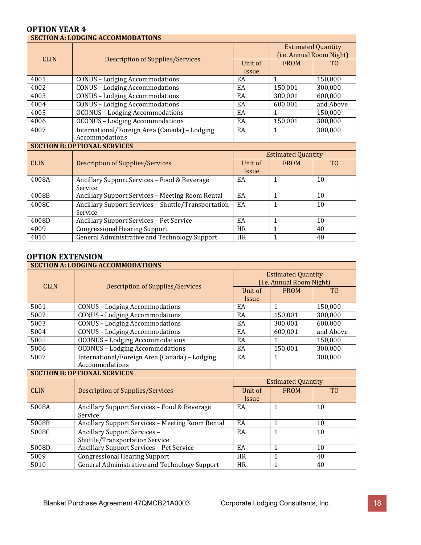|             | <b>SECTION A: LODGING ACCOMMODATIONS</b>            |                  |                                                       |                |  |
|-------------|-----------------------------------------------------|------------------|-------------------------------------------------------|----------------|--|
| <b>CLIN</b> | <b>Description of Supplies/Services</b>             |                  | <b>Estimated Quantity</b><br>(i.e. Annual Room Night) |                |  |
|             |                                                     | Unit of<br>Issue | <b>FROM</b>                                           | T <sub>0</sub> |  |
|             |                                                     |                  |                                                       |                |  |
| 4001        | <b>CONUS - Lodging Accommodations</b>               | EA               | $\mathbf{1}$                                          | 150,000        |  |
| 4002        | <b>CONUS - Lodging Accommodations</b>               | EA               | 150,001                                               | 300,000        |  |
| 4003        | <b>CONUS - Lodging Accommodations</b>               | EA               | 300,001                                               | 600,000        |  |
| 4004        | <b>CONUS - Lodging Accommodations</b>               | EA               | 600,001                                               | and Above      |  |
| 4005        | <b>OCONUS - Lodging Accommodations</b>              | EA               | $\mathbf{1}$                                          | 150,000        |  |
| 4006        | <b>OCONUS - Lodging Accommodations</b>              | EA               | 150,001                                               | 300,000        |  |
| 4007        | International/Foreign Area (Canada) - Lodging       | EA               | $\mathbf{1}$                                          | 300,000        |  |
|             | Accommodations                                      |                  |                                                       |                |  |
|             | <b>SECTION B: OPTIONAL SERVICES</b>                 |                  |                                                       |                |  |
|             |                                                     |                  | <b>Estimated Quantity</b>                             |                |  |
| <b>CLIN</b> | <b>Description of Supplies/Services</b>             | Unit of          | <b>FROM</b>                                           | T <sub>O</sub> |  |
|             |                                                     | Issue            |                                                       |                |  |
| 4008A       | Ancillary Support Services - Food & Beverage        | EA               | $\mathbf{1}$                                          | 10             |  |
|             | Service                                             |                  |                                                       |                |  |
| 4008B       | Ancillary Support Services - Meeting Room Rental    | EA               | $\mathbf{1}$                                          | 10             |  |
| 4008C       | Ancillary Support Services - Shuttle/Transportation | EA               | $\mathbf{1}$                                          | 10             |  |
|             | Service                                             |                  |                                                       |                |  |
| 4008D       | Ancillary Support Services - Pet Service            | EA               | $\mathbf{1}$                                          | 10             |  |
| 4009        | <b>Congressional Hearing Support</b>                | <b>HR</b>        | $\mathbf{1}$                                          | 40             |  |
| 4010        | General Administrative and Technology Support       | <b>HR</b>        | $\mathbf{1}$                                          | 40             |  |

#### **OPTION EXTENSION**

| <b>SECTION A: LODGING ACCOMMODATIONS</b> |                                                                 |                                                       |                           |                |  |  |  |
|------------------------------------------|-----------------------------------------------------------------|-------------------------------------------------------|---------------------------|----------------|--|--|--|
| <b>CLIN</b>                              | <b>Description of Supplies/Services</b>                         | <b>Estimated Quantity</b><br>(i.e. Annual Room Night) |                           |                |  |  |  |
|                                          |                                                                 | Unit of                                               | <b>FROM</b>               | T <sub>0</sub> |  |  |  |
|                                          |                                                                 | <b>Issue</b>                                          |                           |                |  |  |  |
| 5001                                     | <b>CONUS - Lodging Accommodations</b>                           | EA                                                    | $\mathbf{1}$              | 150,000        |  |  |  |
| 5002                                     | <b>CONUS - Lodging Accommodations</b>                           | EA                                                    | 150,001                   | 300,000        |  |  |  |
| 5003                                     | <b>CONUS - Lodging Accommodations</b>                           | EA                                                    | 300,001                   | 600,000        |  |  |  |
| 5004                                     | <b>CONUS - Lodging Accommodations</b>                           | EA                                                    | 600,001                   | and Above      |  |  |  |
| 5005                                     | <b>OCONUS - Lodging Accommodations</b>                          | EA                                                    | $\mathbf{1}$              | 150,000        |  |  |  |
| 5006                                     | <b>OCONUS - Lodging Accommodations</b>                          | EA                                                    | 150,001                   | 300,000        |  |  |  |
| 5007                                     | International/Foreign Area (Canada) - Lodging<br>Accommodations | EA                                                    | $\mathbf{1}$              | 300,000        |  |  |  |
|                                          |                                                                 |                                                       |                           |                |  |  |  |
|                                          | <b>SECTION B: OPTIONAL SERVICES</b>                             |                                                       |                           |                |  |  |  |
|                                          |                                                                 |                                                       | <b>Estimated Quantity</b> |                |  |  |  |
| <b>CLIN</b>                              | <b>Description of Supplies/Services</b>                         | Unit of                                               | <b>FROM</b>               | T <sub>0</sub> |  |  |  |
|                                          |                                                                 | <b>Issue</b>                                          |                           |                |  |  |  |
| 5008A                                    | Ancillary Support Services - Food & Beverage                    | EA                                                    | $\mathbf{1}$              | 10             |  |  |  |
|                                          | Service                                                         |                                                       |                           |                |  |  |  |
| 5008B                                    | Ancillary Support Services - Meeting Room Rental                | EA                                                    | $\mathbf{1}$              | 10             |  |  |  |
| 5008C                                    | Ancillary Support Services -                                    | EA                                                    | $\mathbf{1}$              | 10             |  |  |  |
|                                          | Shuttle/Transportation Service                                  |                                                       |                           |                |  |  |  |
| 5008D                                    | Ancillary Support Services - Pet Service                        | EA                                                    | $\mathbf{1}$              | 10             |  |  |  |
| 5009                                     | <b>Congressional Hearing Support</b>                            | <b>HR</b>                                             | $\mathbf{1}$              | 40             |  |  |  |
| 5010                                     | General Administrative and Technology Support                   | HR                                                    | $\mathbf{1}$              | 40             |  |  |  |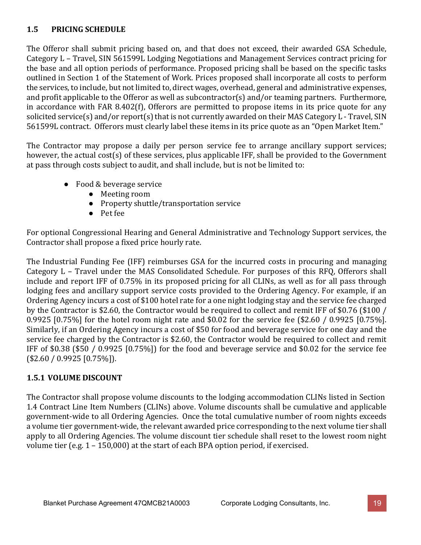# **1.5 PRICING SCHEDULE**

The Offeror shall submit pricing based on, and that does not exceed, their awarded GSA Schedule, Category L – Travel, SIN 561599L Lodging Negotiations and Management Services contract pricing for the base and all option periods of performance. Proposed pricing shall be based on the specific tasks outlined in Section 1 of the Statement of Work. Prices proposed shall incorporate all costs to perform the services, to include, but not limited to, direct wages, overhead, general and administrative expenses, and profit applicable to the Offeror as well as subcontractor(s) and/or teaming partners. Furthermore, in accordance with FAR 8.402(f), Offerors are permitted to propose items in its price quote for any solicited service(s) and/or report(s) that is not currently awarded on their MAS Category L - Travel, SIN 561599L contract. Offerors must clearly label these items in its price quote as an "Open Market Item."

The Contractor may propose a daily per person service fee to arrange ancillary support services; however, the actual cost(s) of these services, plus applicable IFF, shall be provided to the Government at pass through costs subject to audit, and shall include, but is not be limited to:

- Food & beverage service
	- Meeting room
	- Property shuttle/transportation service
	- Pet fee

For optional Congressional Hearing and General Administrative and Technology Support services, the Contractor shall propose a fixed price hourly rate.

The Industrial Funding Fee (IFF) reimburses GSA for the incurred costs in procuring and managing Category L – Travel under the MAS Consolidated Schedule. For purposes of this RFQ, Offerors shall include and report IFF of 0.75% in its proposed pricing for all CLINs, as well as for all pass through lodging fees and ancillary support service costs provided to the Ordering Agency. For example, if an Ordering Agency incurs a cost of \$100 hotel rate for a one night lodging stay and the service fee charged by the Contractor is \$2.60, the Contractor would be required to collect and remit IFF of \$0.76 (\$100 / 0.9925 [0.75%] for the hotel room night rate and \$0.02 for the service fee (\$2.60 / 0.9925 [0.75%]. Similarly, if an Ordering Agency incurs a cost of \$50 for food and beverage service for one day and the service fee charged by the Contractor is \$2.60, the Contractor would be required to collect and remit IFF of \$0.38 (\$50 / 0.9925 [0.75%]) for the food and beverage service and \$0.02 for the service fee (\$2.60 / 0.9925 [0.75%]).

# **1.5.1 VOLUME DISCOUNT**

The Contractor shall propose volume discounts to the lodging accommodation CLINs listed in Section 1.4 Contract Line Item Numbers (CLINs) above. Volume discounts shall be cumulative and applicable government-wide to all Ordering Agencies. Once the total cumulative number of room nights exceeds a volume tier government-wide, the relevant awarded price corresponding to the next volume tier shall apply to all Ordering Agencies. The volume discount tier schedule shall reset to the lowest room night volume tier (e.g. 1 – 150,000) at the start of each BPA option period, if exercised.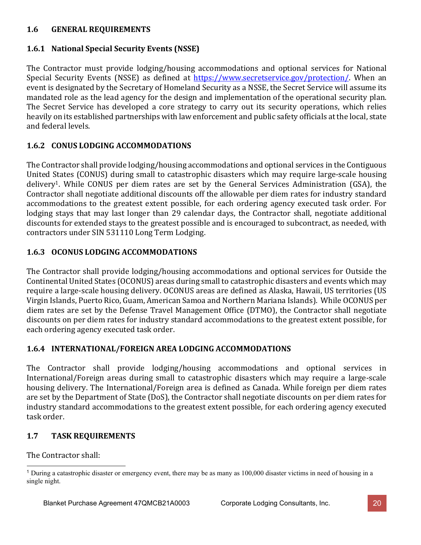## **1.6 GENERAL REQUIREMENTS**

## **1.6.1 National Special Security Events (NSSE)**

The Contractor must provide lodging/housing accommodations and optional services for National Special Security Events (NSSE) as defined at [https://www.secretservice.gov/protection/.](https://www.secretservice.gov/protection/) When an event is designated by the Secretary of Homeland Security as a NSSE, the Secret Service will assume its mandated role as the lead agency for the design and implementation of the operational security plan. The Secret Service has developed a core strategy to carry out its security operations, which relies heavily on its established partnerships with law enforcement and public safety officials at the local, state and federal levels.

## **1.6.2 CONUS LODGING ACCOMMODATIONS**

The Contractor shall provide lodging/housing accommodations and optional services in the Contiguous United States (CONUS) during small to catastrophic disasters which may require large-scale housing delivery<sup>1</sup>. While CONUS per diem rates are set by the General Services Administration (GSA), the Contractor shall negotiate additional discounts off the allowable per diem rates for industry standard accommodations to the greatest extent possible, for each ordering agency executed task order. For lodging stays that may last longer than 29 calendar days, the Contractor shall, negotiate additional discounts for extended stays to the greatest possible and is encouraged to subcontract, as needed, with contractors under SIN 531110 Long Term Lodging.

## **1.6.3 OCONUS LODGING ACCOMMODATIONS**

The Contractor shall provide lodging/housing accommodations and optional services for Outside the Continental United States (OCONUS) areas during small to catastrophic disasters and events which may require a large-scale housing delivery. OCONUS areas are defined as Alaska, Hawaii, US territories (US Virgin Islands, Puerto Rico, Guam, American Samoa and Northern Mariana Islands). While OCONUS per diem rates are set by the Defense Travel Management Office (DTMO), the Contractor shall negotiate discounts on per diem rates for industry standard accommodations to the greatest extent possible, for each ordering agency executed task order.

#### **1.6.4 INTERNATIONAL/FOREIGN AREA LODGING ACCOMMODATIONS**

The Contractor shall provide lodging/housing accommodations and optional services in International/Foreign areas during small to catastrophic disasters which may require a large-scale housing delivery. The International/Foreign area is defined as Canada. While foreign per diem rates are set by the Department of State (DoS), the Contractor shall negotiate discounts on per diem rates for industry standard accommodations to the greatest extent possible, for each ordering agency executed task order.

# **1.7 TASK REQUIREMENTS**

The Contractor shall:

<span id="page-19-0"></span><sup>1</sup> During a catastrophic disaster or emergency event, there may be as many as 100,000 disaster victims in need of housing in a single night.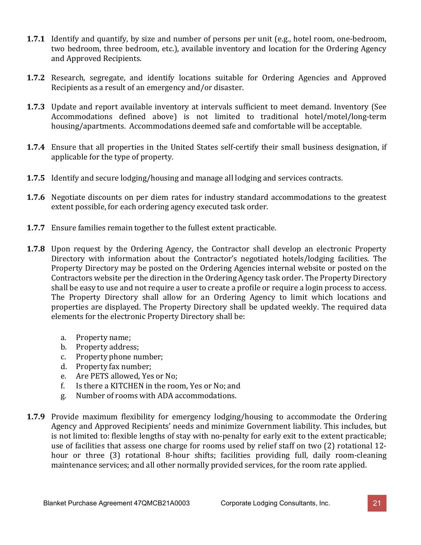- **1.7.1** Identify and quantify, by size and number of persons per unit (e.g., hotel room, one-bedroom, two bedroom, three bedroom, etc.), available inventory and location for the Ordering Agency and Approved Recipients.
- **1.7.2** Research, segregate, and identify locations suitable for Ordering Agencies and Approved Recipients as a result of an emergency and/or disaster.
- **1.7.3** Update and report available inventory at intervals sufficient to meet demand. Inventory (See Accommodations defined above) is not limited to traditional hotel/motel/long-term housing/apartments. Accommodations deemed safe and comfortable will be acceptable.
- **1.7.4** Ensure that all properties in the United States self-certify their small business designation, if applicable for the type of property.
- **1.7.5** Identify and secure lodging/housing and manage all lodging and services contracts.
- **1.7.6** Negotiate discounts on per diem rates for industry standard accommodations to the greatest extent possible, for each ordering agency executed task order.
- **1.7.7** Ensure families remain together to the fullest extent practicable.
- **1.7.8** Upon request by the Ordering Agency, the Contractor shall develop an electronic Property Directory with information about the Contractor's negotiated hotels/lodging facilities. The Property Directory may be posted on the Ordering Agencies internal website or posted on the Contractors website per the direction in the Ordering Agency task order. The Property Directory shall be easy to use and not require a user to create a profile or require a login process to access. The Property Directory shall allow for an Ordering Agency to limit which locations and properties are displayed. The Property Directory shall be updated weekly. The required data elements for the electronic Property Directory shall be:
	- a. Property name;
	- Property address;
	- c. Property phone number;
	- d. Property fax number;<br>e. Are PETS allowed. Yes
	- e. Are PETS allowed, Yes or No;<br>f. Is there a KITCHEN in the roo
	- Is there a KITCHEN in the room, Yes or No; and
	- g. Number of rooms with ADA accommodations.
- **1.7.9** Provide maximum flexibility for emergency lodging/housing to accommodate the Ordering Agency and Approved Recipients' needs and minimize Government liability. This includes, but is not limited to: flexible lengths of stay with no-penalty for early exit to the extent practicable; use of facilities that assess one charge for rooms used by relief staff on two (2) rotational 12 hour or three (3) rotational 8-hour shifts; facilities providing full, daily room-cleaning maintenance services; and all other normally provided services, for the room rate applied.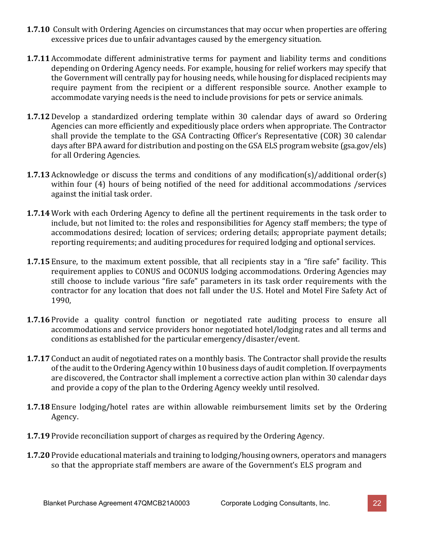- **1.7.10** Consult with Ordering Agencies on circumstances that may occur when properties are offering excessive prices due to unfair advantages caused by the emergency situation.
- **1.7.11** Accommodate different administrative terms for payment and liability terms and conditions depending on Ordering Agency needs. For example, housing for relief workers may specify that the Government will centrally pay for housing needs, while housing for displaced recipients may require payment from the recipient or a different responsible source. Another example to accommodate varying needs is the need to include provisions for pets or service animals.
- **1.7.12** Develop a standardized ordering template within 30 calendar days of award so Ordering Agencies can more efficiently and expeditiously place orders when appropriate. The Contractor shall provide the template to the GSA Contracting Officer's Representative (COR) 30 calendar days after BPA award for distribution and posting on the GSA ELS program website (gsa.gov/els) for all Ordering Agencies.
- **1.7.13** Acknowledge or discuss the terms and conditions of any modification(s)/additional order(s) within four (4) hours of being notified of the need for additional accommodations /services against the initial task order.
- **1.7.14** Work with each Ordering Agency to define all the pertinent requirements in the task order to include, but not limited to: the roles and responsibilities for Agency staff members; the type of accommodations desired; location of services; ordering details; appropriate payment details; reporting requirements; and auditing procedures for required lodging and optional services.
- **1.7.15** Ensure, to the maximum extent possible, that all recipients stay in a "fire safe" facility. This requirement applies to CONUS and OCONUS lodging accommodations. Ordering Agencies may still choose to include various "fire safe" parameters in its task order requirements with the contractor for any location that does not fall under the U.S. Hotel and Motel Fire Safety Act of 1990,
- **1.7.16** Provide a quality control function or negotiated rate auditing process to ensure all accommodations and service providers honor negotiated hotel/lodging rates and all terms and conditions as established for the particular emergency/disaster/event.
- **1.7.17** Conduct an audit of negotiated rates on a monthly basis. The Contractor shall provide the results of the audit to the Ordering Agency within 10 business days of audit completion. If overpayments are discovered, the Contractor shall implement a corrective action plan within 30 calendar days and provide a copy of the plan to the Ordering Agency weekly until resolved.
- **1.7.18** Ensure lodging/hotel rates are within allowable reimbursement limits set by the Ordering Agency.
- **1.7.19** Provide reconciliation support of charges as required by the Ordering Agency.
- **1.7.20** Provide educational materials and training to lodging/housing owners, operators and managers so that the appropriate staff members are aware of the Government's ELS program and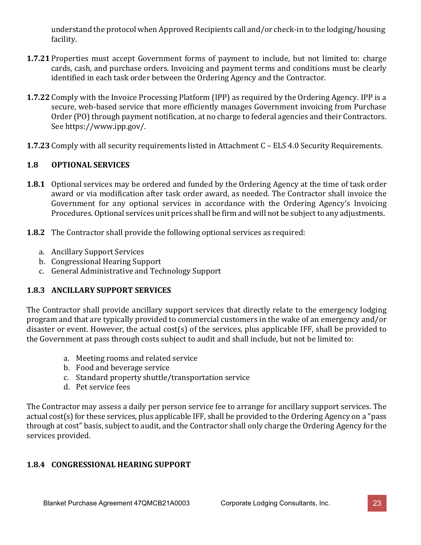understand the protocol when Approved Recipients call and/or check-in to the lodging/housing facility.

- **1.7.21** Properties must accept Government forms of payment to include, but not limited to: charge cards, cash, and purchase orders. Invoicing and payment terms and conditions must be clearly identified in each task order between the Ordering Agency and the Contractor.
- **1.7.22** Comply with the Invoice Processing Platform (IPP) as required by the Ordering Agency. IPP is a secure, web-based service that more efficiently manages Government invoicing from Purchase Order (PO) through payment notification, at no charge to federal agencies and their Contractors. See https:/[/www.ipp.gov/.](http://www.ipp.gov/)
- **1.7.23** Comply with all security requirements listed in Attachment C ELS 4.0 Security Requirements.

# **1.8 OPTIONAL SERVICES**

- **1.8.1** Optional services may be ordered and funded by the Ordering Agency at the time of task order award or via modification after task order award, as needed. The Contractor shall invoice the Government for any optional services in accordance with the Ordering Agency's Invoicing Procedures. Optional services unit prices shall be firm and will not be subject to any adjustments.
- **1.8.2** The Contractor shall provide the following optional services as required:
	- a. Ancillary Support Services
	- b. Congressional Hearing Support
	- c. General Administrative and Technology Support

# **1.8.3 ANCILLARY SUPPORT SERVICES**

The Contractor shall provide ancillary support services that directly relate to the emergency lodging program and that are typically provided to commercial customers in the wake of an emergency and/or disaster or event. However, the actual cost(s) of the services, plus applicable IFF, shall be provided to the Government at pass through costs subject to audit and shall include, but not be limited to:

- a. Meeting rooms and related service
- b. Food and beverage service
- c. Standard property shuttle/transportation service
- d. Pet service fees

The Contractor may assess a daily per person service fee to arrange for ancillary support services. The actual cost(s) for these services, plus applicable IFF, shall be provided to the Ordering Agency on a "pass through at cost" basis, subject to audit, and the Contractor shall only charge the Ordering Agency for the services provided.

# **1.8.4 CONGRESSIONAL HEARING SUPPORT**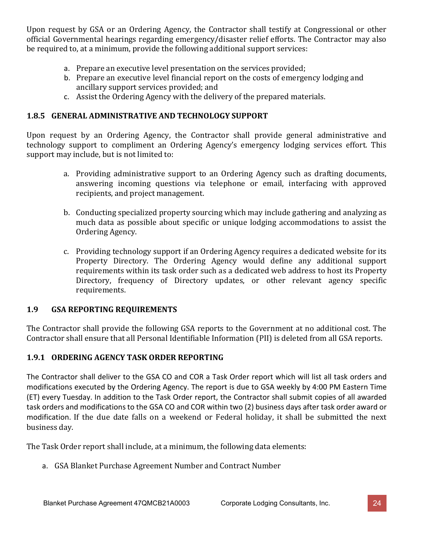Upon request by GSA or an Ordering Agency, the Contractor shall testify at Congressional or other official Governmental hearings regarding emergency/disaster relief efforts. The Contractor may also be required to, at a minimum, provide the following additional support services:

- a. Prepare an executive level presentation on the services provided;
- b. Prepare an executive level financial report on the costs of emergency lodging and ancillary support services provided; and
- c. Assist the Ordering Agency with the delivery of the prepared materials.

### **1.8.5 GENERAL ADMINISTRATIVE AND TECHNOLOGY SUPPORT**

Upon request by an Ordering Agency, the Contractor shall provide general administrative and technology support to compliment an Ordering Agency's emergency lodging services effort. This support may include, but is not limited to:

- a. Providing administrative support to an Ordering Agency such as drafting documents, answering incoming questions via telephone or email, interfacing with approved recipients, and project management.
- b. Conducting specialized property sourcing which may include gathering and analyzing as much data as possible about specific or unique lodging accommodations to assist the Ordering Agency.
- c. Providing technology support if an Ordering Agency requires a dedicated website for its Property Directory. The Ordering Agency would define any additional support requirements within its task order such as a dedicated web address to host its Property Directory, frequency of Directory updates, or other relevant agency specific requirements.

# **1.9 GSA REPORTING REQUIREMENTS**

The Contractor shall provide the following GSA reports to the Government at no additional cost. The Contractor shall ensure that all Personal Identifiable Information (PII) is deleted from all GSA reports.

# **1.9.1 ORDERING AGENCY TASK ORDER REPORTING**

The Contractor shall deliver to the GSA CO and COR a Task Order report which will list all task orders and modifications executed by the Ordering Agency. The report is due to GSA weekly by 4:00 PM Eastern Time (ET) every Tuesday. In addition to the Task Order report, the Contractor shall submit copies of all awarded task orders and modifications to the GSA CO and COR within two (2) business days after task order award or modification. If the due date falls on a weekend or Federal holiday, it shall be submitted the next business day.

The Task Order report shall include, at a minimum, the following data elements:

a. GSA Blanket Purchase Agreement Number and Contract Number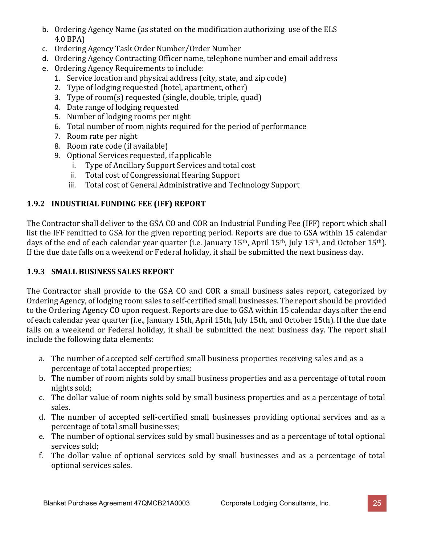- b. Ordering Agency Name (as stated on the modification authorizing use of the ELS 4.0 BPA)
- c. Ordering Agency Task Order Number/Order Number
- d. Ordering Agency Contracting Officer name, telephone number and email address
- e. Ordering Agency Requirements to include:
	- 1. Service location and physical address (city, state, and zip code)
	- 2. Type of lodging requested (hotel, apartment, other)
	- 3. Type of room(s) requested (single, double, triple, quad)
	- 4. Date range of lodging requested
	- 5. Number of lodging rooms per night
	- 6. Total number of room nights required for the period of performance
	- 7. Room rate per night
	- 8. Room rate code (if available)
	- 9. Optional Services requested, if applicable<br>i. Type of Ancillary Support Services at
		- i. Type of Ancillary Support Services and total cost
		- ii. Total cost of Congressional Hearing Support
		- Total cost of General Administrative and Technology Support

# **1.9.2 INDUSTRIAL FUNDING FEE (IFF) REPORT**

The Contractor shall deliver to the GSA CO and COR an Industrial Funding Fee (IFF) report which shall list the IFF remitted to GSA for the given reporting period. Reports are due to GSA within 15 calendar days of the end of each calendar year quarter (i.e. January 15<sup>th</sup>, April 15<sup>th</sup>, July 15<sup>th</sup>, and October 15<sup>th</sup>). If the due date falls on a weekend or Federal holiday, it shall be submitted the next business day.

# **1.9.3 SMALL BUSINESS SALES REPORT**

The Contractor shall provide to the GSA CO and COR a small business sales report, categorized by Ordering Agency, of lodging room sales to self-certified small businesses. The report should be provided to the Ordering Agency CO upon request. Reports are due to GSA within 15 calendar days after the end of each calendar year quarter (i.e., January 15th, April 15th, July 15th, and October 15th). If the due date falls on a weekend or Federal holiday, it shall be submitted the next business day. The report shall include the following data elements:

- a. The number of accepted self-certified small business properties receiving sales and as a percentage of total accepted properties;
- b. The number of room nights sold by small business properties and as a percentage of total room nights sold;
- c. The dollar value of room nights sold by small business properties and as a percentage of total sales.
- d. The number of accepted self-certified small businesses providing optional services and as a percentage of total small businesses;
- e. The number of optional services sold by small businesses and as a percentage of total optional services sold;
- f. The dollar value of optional services sold by small businesses and as a percentage of total optional services sales.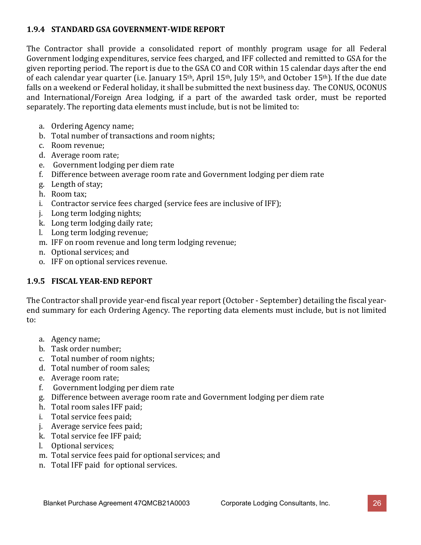## **1.9.4 STANDARD GSA GOVERNMENT-WIDE REPORT**

The Contractor shall provide a consolidated report of monthly program usage for all Federal Government lodging expenditures, service fees charged, and IFF collected and remitted to GSA for the given reporting period. The report is due to the GSA CO and COR within 15 calendar days after the end of each calendar year quarter (i.e. January 15<sup>th</sup>, April 15<sup>th</sup>, July 15<sup>th</sup>, and October 15<sup>th</sup>). If the due date falls on a weekend or Federal holiday, it shall be submitted the next business day. The CONUS, OCONUS and International/Foreign Area lodging, if a part of the awarded task order, must be reported separately. The reporting data elements must include, but is not be limited to:

- a. Ordering Agency name;
- b. Total number of transactions and room nights;
- c. Room revenue;
- d. Average room rate;
- e. Government lodging per diem rate
- f. Difference between average room rate and Government lodging per diem rate
- g. Length of stay;
- h. Room tax;
- i. Contractor service fees charged (service fees are inclusive of IFF);
- j. Long term lodging nights;
- k. Long term lodging daily rate;
- l. Long term lodging revenue;
- m. IFF on room revenue and long term lodging revenue;
- n. Optional services; and
- o. IFF on optional services revenue.

# **1.9.5 FISCAL YEAR-END REPORT**

The Contractor shall provide year-end fiscal year report (October - September) detailing the fiscal yearend summary for each Ordering Agency. The reporting data elements must include, but is not limited to:

- a. Agency name;
- b. Task order number;
- c. Total number of room nights;
- d. Total number of room sales;
- e. Average room rate;
- f. Government lodging per diem rate
- g. Difference between average room rate and Government lodging per diem rate
- h. Total room sales IFF paid;
- i. Total service fees paid;
- j. Average service fees paid;
- k. Total service fee IFF paid;
- l. Optional services;
- m. Total service fees paid for optional services; and
- n. Total IFF paid for optional services.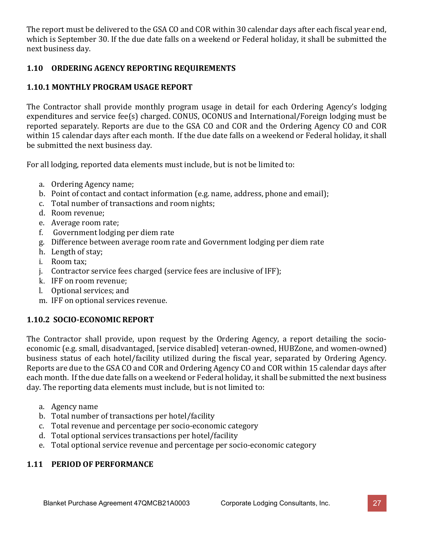The report must be delivered to the GSA CO and COR within 30 calendar days after each fiscal year end, which is September 30. If the due date falls on a weekend or Federal holiday, it shall be submitted the next business day.

# **1.10 ORDERING AGENCY REPORTING REQUIREMENTS**

# **1.10.1 MONTHLY PROGRAM USAGE REPORT**

The Contractor shall provide monthly program usage in detail for each Ordering Agency's lodging expenditures and service fee(s) charged. CONUS, OCONUS and International/Foreign lodging must be reported separately. Reports are due to the GSA CO and COR and the Ordering Agency CO and COR within 15 calendar days after each month. If the due date falls on a weekend or Federal holiday, it shall be submitted the next business day.

For all lodging, reported data elements must include, but is not be limited to:

- a. Ordering Agency name;
- b. Point of contact and contact information (e.g. name, address, phone and email);
- c. Total number of transactions and room nights;
- d. Room revenue;
- e. Average room rate;
- f. Government lodging per diem rate
- g. Difference between average room rate and Government lodging per diem rate
- h. Length of stay;
- i. Room tax;
- j. Contractor service fees charged (service fees are inclusive of IFF);
- k. IFF on room revenue;
- l. Optional services; and
- m. IFF on optional services revenue.

# **1.10.2 SOCIO-ECONOMIC REPORT**

The Contractor shall provide, upon request by the Ordering Agency, a report detailing the socioeconomic (e.g. small, disadvantaged, [service disabled] veteran-owned, HUBZone, and women-owned) business status of each hotel/facility utilized during the fiscal year, separated by Ordering Agency. Reports are due to the GSA CO and COR and Ordering Agency CO and COR within 15 calendar days after each month. If the due date falls on a weekend or Federal holiday, it shall be submitted the next business day. The reporting data elements must include, but is not limited to:

- a. Agency name
- b. Total number of transactions per hotel/facility
- c. Total revenue and percentage per socio-economic category
- d. Total optional services transactions per hotel/facility
- e. Total optional service revenue and percentage per socio-economic category

# **1.11 PERIOD OF PERFORMANCE**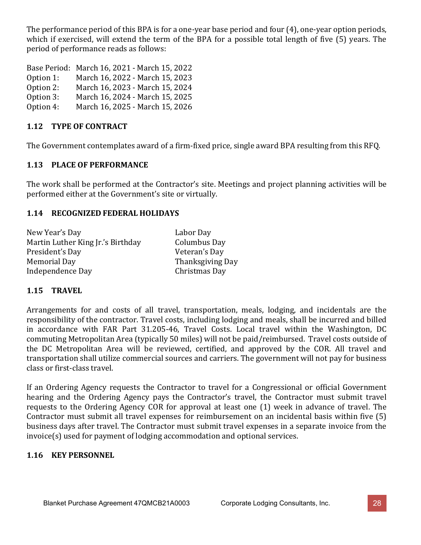The performance period of this BPA is for a one-year base period and four (4), one-year option periods, which if exercised, will extend the term of the BPA for a possible total length of five (5) years. The period of performance reads as follows:

| Base Period: March 16, 2021 - March 15, 2022 |
|----------------------------------------------|
| March 16, 2022 - March 15, 2023              |
| March 16, 2023 - March 15, 2024              |
| March 16, 2024 - March 15, 2025              |
| March 16, 2025 - March 15, 2026              |
|                                              |

## **1.12 TYPE OF CONTRACT**

The Government contemplates award of a firm-fixed price, single award BPA resulting from this RFQ.

## **1.13 PLACE OF PERFORMANCE**

The work shall be performed at the Contractor's site. Meetings and project planning activities will be performed either at the Government's site or virtually.

## **1.14 RECOGNIZED FEDERAL HOLIDAYS**

New Year's Day Labor Day Martin Luther King Jr.'s Birthday Columbus Day President's Day<br>Memorial Day Independence Day

Thanksgiving Day<br>Christmas Day

# **1.15 TRAVEL**

Arrangements for and costs of all travel, transportation, meals, lodging, and incidentals are the responsibility of the contractor. Travel costs, including lodging and meals, shall be incurred and billed in accordance with FAR Part 31.205-46, Travel Costs. Local travel within the Washington, DC commuting Metropolitan Area (typically 50 miles) will not be paid/reimbursed. Travel costs outside of the DC Metropolitan Area will be reviewed, certified, and approved by the COR. All travel and transportation shall utilize commercial sources and carriers. The government will not pay for business class or first-class travel.

If an Ordering Agency requests the Contractor to travel for a Congressional or official Government hearing and the Ordering Agency pays the Contractor's travel, the Contractor must submit travel requests to the Ordering Agency COR for approval at least one (1) week in advance of travel. The Contractor must submit all travel expenses for reimbursement on an incidental basis within five (5) business days after travel. The Contractor must submit travel expenses in a separate invoice from the invoice(s) used for payment of lodging accommodation and optional services.

#### **1.16 KEY PERSONNEL**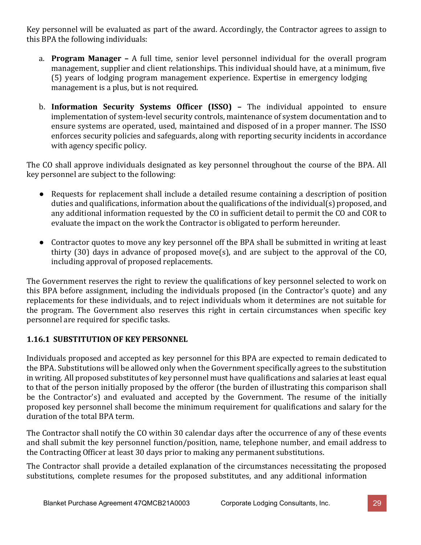Key personnel will be evaluated as part of the award. Accordingly, the Contractor agrees to assign to this BPA the following individuals:

- a. **Program Manager –** A full time, senior level personnel individual for the overall program management, supplier and client relationships. This individual should have, at a minimum, five (5) years of lodging program management experience. Expertise in emergency lodging management is a plus, but is not required.
- b. **Information Security Systems Officer (ISSO) –** The individual appointed to ensure implementation of system-level security controls, maintenance of system documentation and to ensure systems are operated, used, maintained and disposed of in a proper manner. The ISSO enforces security policies and safeguards, along with reporting security incidents in accordance with agency specific policy.

The CO shall approve individuals designated as key personnel throughout the course of the BPA. All key personnel are subject to the following:

- Requests for replacement shall include a detailed resume containing a description of position duties and qualifications, information about the qualifications of the individual(s) proposed, and any additional information requested by the CO in sufficient detail to permit the CO and COR to evaluate the impact on the work the Contractor is obligated to perform hereunder.
- Contractor quotes to move any key personnel off the BPA shall be submitted in writing at least thirty (30) days in advance of proposed move(s), and are subject to the approval of the CO, including approval of proposed replacements.

The Government reserves the right to review the qualifications of key personnel selected to work on this BPA before assignment, including the individuals proposed (in the Contractor's quote) and any replacements for these individuals, and to reject individuals whom it determines are not suitable for the program. The Government also reserves this right in certain circumstances when specific key personnel are required for specific tasks.

# **1.16.1 SUBSTITUTION OF KEY PERSONNEL**

Individuals proposed and accepted as key personnel for this BPA are expected to remain dedicated to the BPA. Substitutions will be allowed only when the Government specifically agrees to the substitution in writing. All proposed substitutes of key personnel must have qualifications and salaries at least equal to that of the person initially proposed by the offeror (the burden of illustrating this comparison shall be the Contractor's) and evaluated and accepted by the Government. The resume of the initially proposed key personnel shall become the minimum requirement for qualifications and salary for the duration of the total BPA term.

The Contractor shall notify the CO within 30 calendar days after the occurrence of any of these events and shall submit the key personnel function/position, name, telephone number, and email address to the Contracting Officer at least 30 days prior to making any permanent substitutions.

The Contractor shall provide a detailed explanation of the circumstances necessitating the proposed substitutions, complete resumes for the proposed substitutes, and any additional information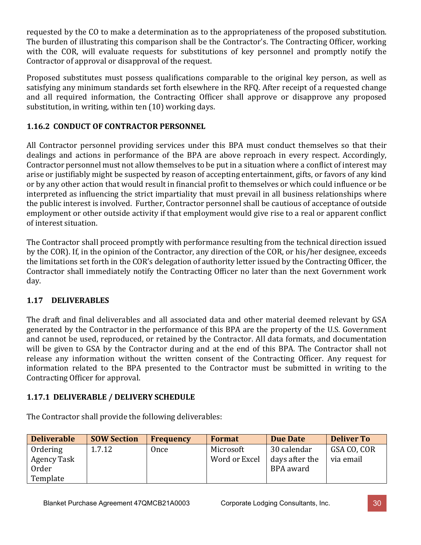requested by the CO to make a determination as to the appropriateness of the proposed substitution. The burden of illustrating this comparison shall be the Contractor's. The Contracting Officer, working with the COR, will evaluate requests for substitutions of key personnel and promptly notify the Contractor of approval or disapproval of the request.

Proposed substitutes must possess qualifications comparable to the original key person, as well as satisfying any minimum standards set forth elsewhere in the RFQ. After receipt of a requested change and all required information, the Contracting Officer shall approve or disapprove any proposed substitution, in writing, within ten (10) working days.

# **1.16.2 CONDUCT OF CONTRACTOR PERSONNEL**

All Contractor personnel providing services under this BPA must conduct themselves so that their dealings and actions in performance of the BPA are above reproach in every respect. Accordingly, Contractor personnel must not allow themselves to be put in a situation where a conflict of interest may arise or justifiably might be suspected by reason of accepting entertainment, gifts, or favors of any kind or by any other action that would result in financial profit to themselves or which could influence or be interpreted as influencing the strict impartiality that must prevail in all business relationships where the public interest is involved. Further, Contractor personnel shall be cautious of acceptance of outside employment or other outside activity if that employment would give rise to a real or apparent conflict of interest situation.

The Contractor shall proceed promptly with performance resulting from the technical direction issued by the COR). If, in the opinion of the Contractor, any direction of the COR, or his/her designee, exceeds the limitations set forth in the COR's delegation of authority letter issued by the Contracting Officer, the Contractor shall immediately notify the Contracting Officer no later than the next Government work day.

# **1.17 DELIVERABLES**

The draft and final deliverables and all associated data and other material deemed relevant by GSA generated by the Contractor in the performance of this BPA are the property of the U.S. Government and cannot be used, reproduced, or retained by the Contractor. All data formats, and documentation will be given to GSA by the Contractor during and at the end of this BPA. The Contractor shall not release any information without the written consent of the Contracting Officer. Any request for information related to the BPA presented to the Contractor must be submitted in writing to the Contracting Officer for approval.

# **1.17.1 DELIVERABLE / DELIVERY SCHEDULE**

| <b>Deliverable</b> | <b>SOW Section</b> | <b>Frequency</b> | <b>Format</b> | <b>Due Date</b> | <b>Deliver To</b> |
|--------------------|--------------------|------------------|---------------|-----------------|-------------------|
| Ordering           | 1.7.12             | Once             | Microsoft     | 30 calendar     | GSA CO, COR       |
| Agency Task        |                    |                  | Word or Excel | days after the  | via email         |
| Order              |                    |                  |               | BPA award       |                   |
| Template           |                    |                  |               |                 |                   |

The Contractor shall provide the following deliverables: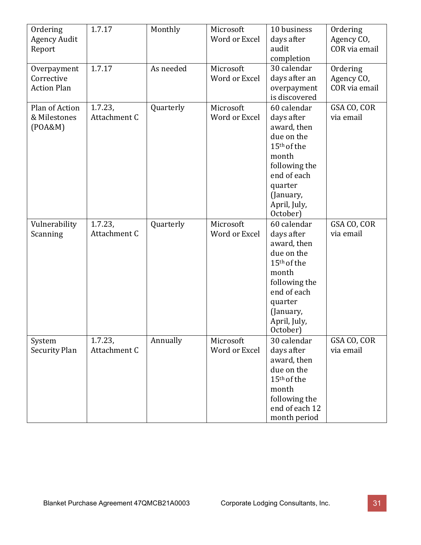| Ordering<br><b>Agency Audit</b><br>Report       | 1.7.17                     | Monthly   | Microsoft<br>Word or Excel | 10 business<br>days after<br>audit<br>completion                                                                                                                               | Ordering<br>Agency CO,<br>COR via email |
|-------------------------------------------------|----------------------------|-----------|----------------------------|--------------------------------------------------------------------------------------------------------------------------------------------------------------------------------|-----------------------------------------|
| Overpayment<br>Corrective<br><b>Action Plan</b> | 1.7.17                     | As needed | Microsoft<br>Word or Excel | 30 calendar<br>days after an<br>overpayment<br>is discovered                                                                                                                   | Ordering<br>Agency CO,<br>COR via email |
| Plan of Action<br>& Milestones<br>(POA&M)       | $1.7.23$ ,<br>Attachment C | Quarterly | Microsoft<br>Word or Excel | 60 calendar<br>days after<br>award, then<br>due on the<br>15 <sup>th</sup> of the<br>month<br>following the<br>end of each<br>quarter<br>(January,<br>April, July,<br>October) | GSA CO, COR<br>via email                |
| Vulnerability<br>Scanning                       | $1.7.23$ ,<br>Attachment C | Quarterly | Microsoft<br>Word or Excel | 60 calendar<br>days after<br>award, then<br>due on the<br>15 <sup>th</sup> of the<br>month<br>following the<br>end of each<br>quarter<br>(January,<br>April, July,<br>October) | GSA CO, COR<br>via email                |
| System<br>Security Plan                         | 1.7.23,<br>Attachment C    | Annually  | Microsoft<br>Word or Excel | 30 calendar<br>days after<br>award, then<br>due on the<br>15 <sup>th</sup> of the<br>month<br>following the<br>end of each 12<br>month period                                  | GSA CO, COR<br>via email                |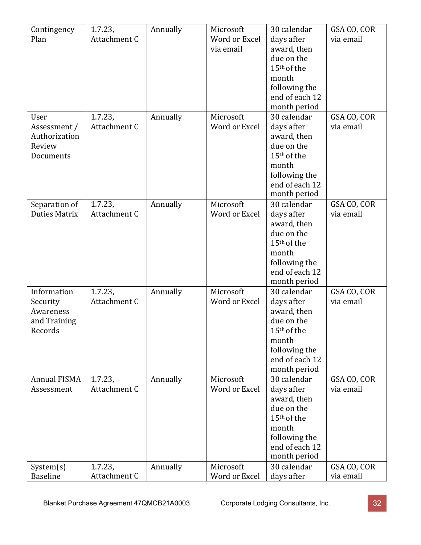| Contingency           | 1.7.23,                 | Annually | Microsoft                  | 30 calendar                 | GSA CO, COR |
|-----------------------|-------------------------|----------|----------------------------|-----------------------------|-------------|
| Plan                  | Attachment C            |          | Word or Excel              | days after                  | via email   |
|                       |                         |          | via email                  | award, then                 |             |
|                       |                         |          |                            | due on the                  |             |
|                       |                         |          |                            | 15 <sup>th</sup> of the     |             |
|                       |                         |          |                            | month                       |             |
|                       |                         |          |                            | following the               |             |
|                       |                         |          |                            | end of each 12              |             |
| User                  | 1.7.23,                 | Annually | Microsoft                  | month period<br>30 calendar | GSA CO, COR |
| Assessment /          | Attachment C            |          | Word or Excel              | days after                  | via email   |
| Authorization         |                         |          |                            | award, then                 |             |
| Review                |                         |          |                            | due on the                  |             |
| Documents             |                         |          |                            | 15 <sup>th</sup> of the     |             |
|                       |                         |          |                            | month                       |             |
|                       |                         |          |                            | following the               |             |
|                       |                         |          |                            | end of each 12              |             |
|                       |                         |          |                            | month period                |             |
| Separation of         | $1.7.23$ ,              | Annually | Microsoft                  | 30 calendar                 | GSA CO, COR |
| <b>Duties Matrix</b>  | Attachment C            |          | Word or Excel              | days after                  | via email   |
|                       |                         |          |                            | award, then                 |             |
|                       |                         |          |                            | due on the                  |             |
|                       |                         |          |                            | 15 <sup>th</sup> of the     |             |
|                       |                         |          |                            | month                       |             |
|                       |                         |          |                            | following the               |             |
|                       |                         |          |                            | end of each 12              |             |
|                       |                         |          |                            | month period                |             |
| Information           | 1.7.23,<br>Attachment C | Annually | Microsoft<br>Word or Excel | 30 calendar                 | GSA CO, COR |
| Security<br>Awareness |                         |          |                            | days after<br>award, then   | via email   |
| and Training          |                         |          |                            | due on the                  |             |
| Records               |                         |          |                            | 15 <sup>th</sup> of the     |             |
|                       |                         |          |                            | month                       |             |
|                       |                         |          |                            | following the               |             |
|                       |                         |          |                            | end of each 12              |             |
|                       |                         |          |                            | month period                |             |
| <b>Annual FISMA</b>   | 1.7.23,                 | Annually | Microsoft                  | 30 calendar                 | GSA CO, COR |
| Assessment            | Attachment C            |          | Word or Excel              | days after                  | via email   |
|                       |                         |          |                            | award, then                 |             |
|                       |                         |          |                            | due on the                  |             |
|                       |                         |          |                            | 15 <sup>th</sup> of the     |             |
|                       |                         |          |                            | month                       |             |
|                       |                         |          |                            | following the               |             |
|                       |                         |          |                            | end of each 12              |             |
|                       |                         |          |                            | month period                |             |
| System(s)             | 1.7.23,                 | Annually | Microsoft                  | 30 calendar                 | GSA CO, COR |
| <b>Baseline</b>       | Attachment C            |          | Word or Excel              | days after                  | via email   |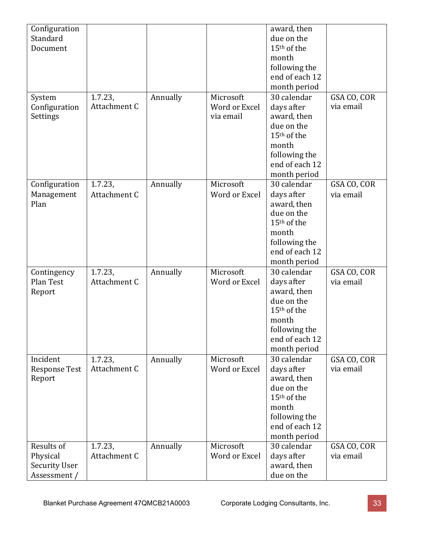| Configuration<br>Standard                                                                                                      |
|--------------------------------------------------------------------------------------------------------------------------------|
| Document                                                                                                                       |
|                                                                                                                                |
|                                                                                                                                |
|                                                                                                                                |
|                                                                                                                                |
|                                                                                                                                |
|                                                                                                                                |
|                                                                                                                                |
|                                                                                                                                |
|                                                                                                                                |
|                                                                                                                                |
|                                                                                                                                |
|                                                                                                                                |
|                                                                                                                                |
|                                                                                                                                |
|                                                                                                                                |
|                                                                                                                                |
|                                                                                                                                |
|                                                                                                                                |
|                                                                                                                                |
|                                                                                                                                |
|                                                                                                                                |
|                                                                                                                                |
|                                                                                                                                |
| Contingency                                                                                                                    |
| Plan Test                                                                                                                      |
| Report                                                                                                                         |
|                                                                                                                                |
|                                                                                                                                |
|                                                                                                                                |
|                                                                                                                                |
|                                                                                                                                |
|                                                                                                                                |
| Incident                                                                                                                       |
| <b>Response Test</b>                                                                                                           |
| Report                                                                                                                         |
|                                                                                                                                |
|                                                                                                                                |
|                                                                                                                                |
|                                                                                                                                |
|                                                                                                                                |
|                                                                                                                                |
| Results of                                                                                                                     |
|                                                                                                                                |
|                                                                                                                                |
|                                                                                                                                |
| System<br>Configuration<br>Settings<br>Configuration<br>Management<br>Plan<br>Physical<br><b>Security User</b><br>Assessment / |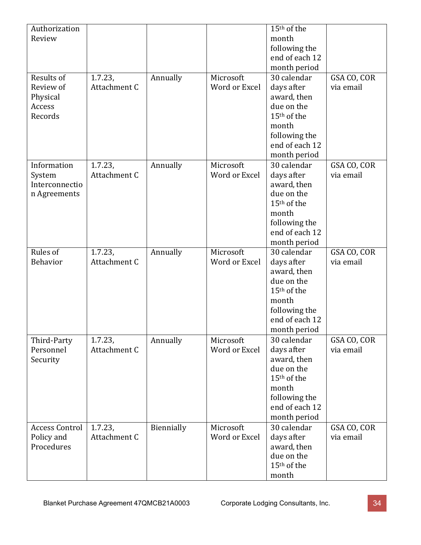| Authorization<br>Review<br>month                                                          |  |
|-------------------------------------------------------------------------------------------|--|
|                                                                                           |  |
| following the                                                                             |  |
| end of each 12                                                                            |  |
| month period                                                                              |  |
| Microsoft<br>30 calendar<br>Results of<br>$1.7.23$ ,<br>Annually<br>GSA CO, COR           |  |
| Word or Excel<br>Attachment C<br>Review of<br>days after<br>via email                     |  |
| Physical<br>award, then                                                                   |  |
| due on the<br>Access                                                                      |  |
| 15 <sup>th</sup> of the<br>Records                                                        |  |
| month                                                                                     |  |
|                                                                                           |  |
| following the                                                                             |  |
| end of each 12                                                                            |  |
| month period                                                                              |  |
| Microsoft<br>30 calendar<br>Information<br>$1.7.23$ ,<br>Annually<br>GSA CO, COR          |  |
| Attachment C<br>Word or Excel<br>days after<br>via email<br>System                        |  |
| Interconnectio<br>award, then                                                             |  |
| due on the<br>n Agreements                                                                |  |
| 15 <sup>th</sup> of the                                                                   |  |
| month                                                                                     |  |
| following the                                                                             |  |
| end of each 12                                                                            |  |
| month period                                                                              |  |
| Rules of<br>Microsoft<br>30 calendar<br>GSA CO, COR<br>1.7.23,<br>Annually                |  |
| Attachment C<br>Word or Excel<br>Behavior<br>days after<br>via email                      |  |
| award, then                                                                               |  |
| due on the                                                                                |  |
| 15 <sup>th</sup> of the                                                                   |  |
| month                                                                                     |  |
| following the                                                                             |  |
| end of each 12                                                                            |  |
| month period                                                                              |  |
| 1.7.23,<br>Annually<br>GSA CO, COR<br>Microsoft<br>30 calendar<br>Third-Party             |  |
| Attachment C<br>days after<br>Personnel<br>Word or Excel<br>via email                     |  |
| award, then<br>Security                                                                   |  |
| due on the                                                                                |  |
| 15 <sup>th</sup> of the                                                                   |  |
| month                                                                                     |  |
| following the                                                                             |  |
| end of each 12                                                                            |  |
| month period                                                                              |  |
| Biennially<br><b>Access Control</b><br>30 calendar<br>1.7.23,<br>Microsoft<br>GSA CO, COR |  |
| days after<br>Policy and<br>Attachment C<br>Word or Excel<br>via email                    |  |
| Procedures<br>award, then                                                                 |  |
| due on the                                                                                |  |
| 15 <sup>th</sup> of the                                                                   |  |
| month                                                                                     |  |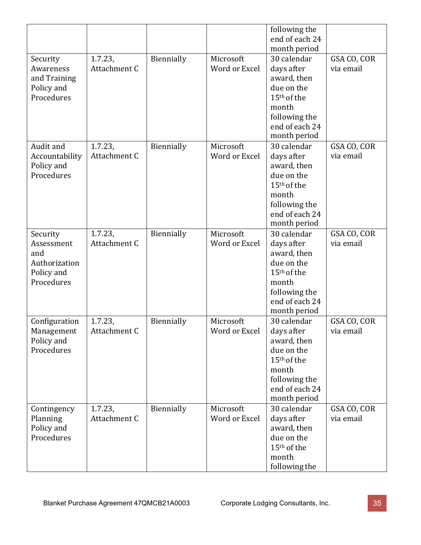|                                                                            |                            |            |                            | following the<br>end of each 24<br>month period                                                                                               |                          |
|----------------------------------------------------------------------------|----------------------------|------------|----------------------------|-----------------------------------------------------------------------------------------------------------------------------------------------|--------------------------|
| Security<br>Awareness<br>and Training<br>Policy and<br>Procedures          | 1.7.23,<br>Attachment C    | Biennially | Microsoft<br>Word or Excel | 30 calendar<br>days after<br>award, then<br>due on the<br>15 <sup>th</sup> of the<br>month<br>following the<br>end of each 24<br>month period | GSA CO, COR<br>via email |
| Audit and<br>Accountability<br>Policy and<br>Procedures                    | $1.7.23$ ,<br>Attachment C | Biennially | Microsoft<br>Word or Excel | 30 calendar<br>days after<br>award, then<br>due on the<br>15 <sup>th</sup> of the<br>month<br>following the<br>end of each 24<br>month period | GSA CO, COR<br>via email |
| Security<br>Assessment<br>and<br>Authorization<br>Policy and<br>Procedures | 1.7.23,<br>Attachment C    | Biennially | Microsoft<br>Word or Excel | 30 calendar<br>days after<br>award, then<br>due on the<br>15 <sup>th</sup> of the<br>month<br>following the<br>end of each 24<br>month period | GSA CO, COR<br>via email |
| Configuration<br>Management<br>Policy and<br>Procedures                    | $1.7.23$ ,<br>Attachment C | Biennially | Microsoft<br>Word or Excel | 30 calendar<br>days after<br>award, then<br>due on the<br>15 <sup>th</sup> of the<br>month<br>following the<br>end of each 24<br>month period | GSA CO, COR<br>via email |
| Contingency<br>Planning<br>Policy and<br>Procedures                        | 1.7.23,<br>Attachment C    | Biennially | Microsoft<br>Word or Excel | 30 calendar<br>days after<br>award, then<br>due on the<br>15 <sup>th</sup> of the<br>month<br>following the                                   | GSA CO, COR<br>via email |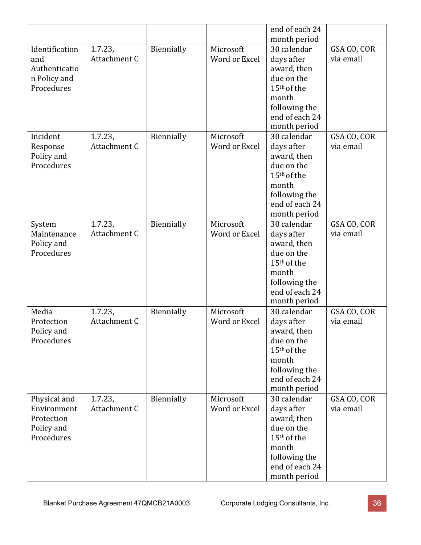|                             |                         |            |               | end of each 24                        |                          |
|-----------------------------|-------------------------|------------|---------------|---------------------------------------|--------------------------|
|                             |                         |            |               | month period                          |                          |
| Identification              | $1.7.23$ ,              | Biennially | Microsoft     | 30 calendar                           | GSA CO, COR              |
| and                         | Attachment C            |            | Word or Excel | days after                            | via email                |
| Authenticatio               |                         |            |               | award, then                           |                          |
| n Policy and                |                         |            |               | due on the                            |                          |
| Procedures                  |                         |            |               | 15 <sup>th</sup> of the               |                          |
|                             |                         |            |               | month                                 |                          |
|                             |                         |            |               | following the                         |                          |
|                             |                         |            |               | end of each 24                        |                          |
|                             |                         |            |               | month period                          |                          |
| Incident                    | 1.7.23,                 | Biennially | Microsoft     | 30 calendar                           | GSA CO, COR              |
| Response                    | Attachment C            |            | Word or Excel | days after                            | via email                |
| Policy and                  |                         |            |               | award, then                           |                          |
| Procedures                  |                         |            |               | due on the<br>15 <sup>th</sup> of the |                          |
|                             |                         |            |               | month                                 |                          |
|                             |                         |            |               | following the                         |                          |
|                             |                         |            |               | end of each 24                        |                          |
|                             |                         |            |               | month period                          |                          |
| System                      | $1.7.23$ ,              | Biennially | Microsoft     | 30 calendar                           | GSA CO, COR              |
| Maintenance                 | Attachment C            |            | Word or Excel | days after                            | via email                |
| Policy and                  |                         |            |               | award, then                           |                          |
| Procedures                  |                         |            |               | due on the                            |                          |
|                             |                         |            |               | 15 <sup>th</sup> of the               |                          |
|                             |                         |            |               | month                                 |                          |
|                             |                         |            |               | following the                         |                          |
|                             |                         |            |               | end of each 24                        |                          |
|                             |                         |            |               | month period                          |                          |
| Media                       | 1.7.23,                 | Biennially | Microsoft     | 30 calendar                           | GSA CO, COR              |
| Protection                  | Attachment C            |            | Word or Excel | days after                            | via email                |
| Policy and                  |                         |            |               | award, then                           |                          |
| Procedures                  |                         |            |               | due on the                            |                          |
|                             |                         |            |               | 15 <sup>th</sup> of the               |                          |
|                             |                         |            |               | month                                 |                          |
|                             |                         |            |               | following the                         |                          |
|                             |                         |            |               | end of each 24                        |                          |
|                             |                         |            | Microsoft     | month period<br>30 calendar           |                          |
| Physical and<br>Environment | 1.7.23,<br>Attachment C | Biennially | Word or Excel | days after                            | GSA CO, COR<br>via email |
| Protection                  |                         |            |               | award, then                           |                          |
| Policy and                  |                         |            |               | due on the                            |                          |
| Procedures                  |                         |            |               | 15 <sup>th</sup> of the               |                          |
|                             |                         |            |               | month                                 |                          |
|                             |                         |            |               | following the                         |                          |
|                             |                         |            |               | end of each 24                        |                          |
|                             |                         |            |               | month period                          |                          |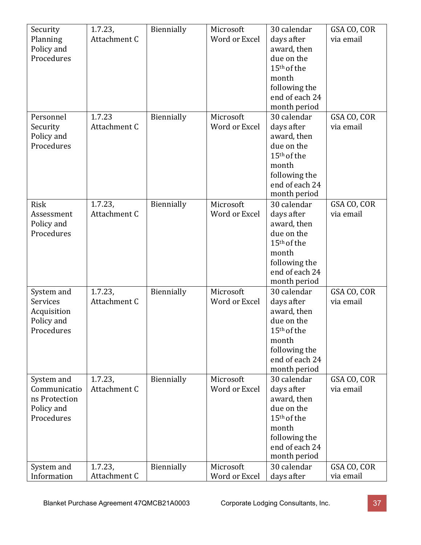| Security<br>Planning<br>Policy and<br>Procedures                        | 1.7.23,<br>Attachment C    | Biennially | Microsoft<br>Word or Excel | 30 calendar<br>days after<br>award, then<br>due on the<br>15 <sup>th</sup> of the<br>month<br>following the                                   | GSA CO, COR<br>via email |
|-------------------------------------------------------------------------|----------------------------|------------|----------------------------|-----------------------------------------------------------------------------------------------------------------------------------------------|--------------------------|
|                                                                         |                            |            |                            | end of each 24<br>month period                                                                                                                |                          |
| Personnel<br>Security<br>Policy and<br>Procedures                       | 1.7.23<br>Attachment C     | Biennially | Microsoft<br>Word or Excel | 30 calendar<br>days after<br>award, then<br>due on the<br>15 <sup>th</sup> of the<br>month<br>following the<br>end of each 24<br>month period | GSA CO, COR<br>via email |
| <b>Risk</b><br>Assessment<br>Policy and<br>Procedures                   | $1.7.23$ ,<br>Attachment C | Biennially | Microsoft<br>Word or Excel | 30 calendar<br>days after<br>award, then<br>due on the<br>15 <sup>th</sup> of the<br>month<br>following the<br>end of each 24<br>month period | GSA CO, COR<br>via email |
| System and<br>Services<br>Acquisition<br>Policy and<br>Procedures       | 1.7.23,<br>Attachment C    | Biennially | Microsoft<br>Word or Excel | 30 calendar<br>days after<br>award, then<br>due on the<br>15 <sup>th</sup> of the<br>month<br>following the<br>end of each 24<br>month period | GSA CO, COR<br>via email |
| System and<br>Communicatio<br>ns Protection<br>Policy and<br>Procedures | 1.7.23,<br>Attachment C    | Biennially | Microsoft<br>Word or Excel | 30 calendar<br>days after<br>award, then<br>due on the<br>15 <sup>th</sup> of the<br>month<br>following the<br>end of each 24<br>month period | GSA CO, COR<br>via email |
| System and<br>Information                                               | $1.7.23$ ,<br>Attachment C | Biennially | Microsoft<br>Word or Excel | 30 calendar<br>days after                                                                                                                     | GSA CO, COR<br>via email |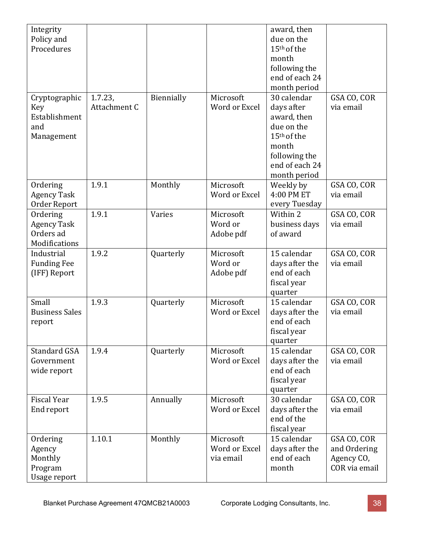| Integrity<br>Policy and<br>Procedures                             |                         |            |                                         | award, then<br>due on the<br>15 <sup>th</sup> of the<br>month<br>following the<br>end of each 24<br>month period                              |                                                            |
|-------------------------------------------------------------------|-------------------------|------------|-----------------------------------------|-----------------------------------------------------------------------------------------------------------------------------------------------|------------------------------------------------------------|
| Cryptographic<br><b>Key</b><br>Establishment<br>and<br>Management | 1.7.23,<br>Attachment C | Biennially | Microsoft<br>Word or Excel              | 30 calendar<br>days after<br>award, then<br>due on the<br>15 <sup>th</sup> of the<br>month<br>following the<br>end of each 24<br>month period | GSA CO, COR<br>via email                                   |
| Ordering<br><b>Agency Task</b><br>Order Report                    | 1.9.1                   | Monthly    | Microsoft<br>Word or Excel              | Weekly by<br>4:00 PM ET<br>every Tuesday                                                                                                      | GSA CO, COR<br>via email                                   |
| Ordering<br><b>Agency Task</b><br>Orders ad<br>Modifications      | 1.9.1                   | Varies     | Microsoft<br>Word or<br>Adobe pdf       | Within 2<br>business days<br>of award                                                                                                         | GSA CO, COR<br>via email                                   |
| Industrial<br><b>Funding Fee</b><br>(IFF) Report                  | 1.9.2                   | Quarterly  | Microsoft<br>Word or<br>Adobe pdf       | 15 calendar<br>days after the<br>end of each<br>fiscal year<br>quarter                                                                        | GSA CO, COR<br>via email                                   |
| Small<br><b>Business Sales</b><br>report                          | 1.9.3                   | Quarterly  | Microsoft<br>Word or Excel              | 15 calendar<br>days after the<br>end of each<br>fiscal year<br>quarter                                                                        | GSA CO, COR<br>via email                                   |
| <b>Standard GSA</b><br>Government<br>wide report                  | 1.9.4                   | Quarterly  | Microsoft<br>Word or Excel              | 15 calendar<br>days after the<br>end of each<br>fiscal year<br>quarter                                                                        | GSA CO, COR<br>via email                                   |
| <b>Fiscal Year</b><br>End report                                  | 1.9.5                   | Annually   | Microsoft<br>Word or Excel              | 30 calendar<br>days after the<br>end of the<br>fiscal year                                                                                    | GSA CO, COR<br>via email                                   |
| Ordering<br>Agency<br>Monthly<br>Program<br>Usage report          | 1.10.1                  | Monthly    | Microsoft<br>Word or Excel<br>via email | 15 calendar<br>days after the<br>end of each<br>month                                                                                         | GSA CO, COR<br>and Ordering<br>Agency CO,<br>COR via email |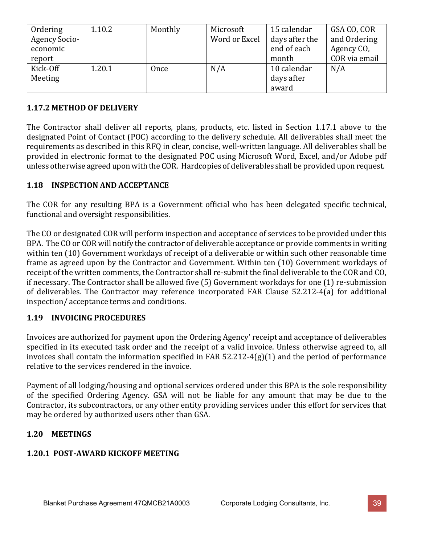| Ordering             | 1.10.2 | Monthly | Microsoft     | 15 calendar    | GSA CO, COR   |
|----------------------|--------|---------|---------------|----------------|---------------|
| <b>Agency Socio-</b> |        |         | Word or Excel | days after the | and Ordering  |
| economic             |        |         |               | end of each    | Agency CO,    |
| report               |        |         |               | month          | COR via email |
| Kick-Off             | 1.20.1 | Once    | N/A           | 10 calendar    | N/A           |
| Meeting              |        |         |               | days after     |               |
|                      |        |         |               | award          |               |

## **1.17.2 METHOD OF DELIVERY**

The Contractor shall deliver all reports, plans, products, etc. listed in Section 1.17.1 above to the designated Point of Contact (POC) according to the delivery schedule. All deliverables shall meet the requirements as described in this RFQ in clear, concise, well-written language. All deliverables shall be provided in electronic format to the designated POC using Microsoft Word, Excel, and/or Adobe pdf unless otherwise agreed upon with the COR. Hardcopies of deliverables shall be provided upon request.

## **1.18 INSPECTION AND ACCEPTANCE**

The COR for any resulting BPA is a Government official who has been delegated specific technical, functional and oversight responsibilities.

The CO or designated COR will perform inspection and acceptance of services to be provided under this BPA. The CO or COR will notify the contractor of deliverable acceptance or provide comments in writing within ten (10) Government workdays of receipt of a deliverable or within such other reasonable time frame as agreed upon by the Contractor and Government. Within ten (10) Government workdays of receipt of the written comments, the Contractor shall re-submit the final deliverable to the COR and CO, if necessary. The Contractor shall be allowed five (5) Government workdays for one (1) re-submission of deliverables. The Contractor may reference incorporated FAR Clause 52.212-4(a) for additional inspection/ acceptance terms and conditions.

# **1.19 INVOICING PROCEDURES**

Invoices are authorized for payment upon the Ordering Agency' receipt and acceptance of deliverables specified in its executed task order and the receipt of a valid invoice. Unless otherwise agreed to, all invoices shall contain the information specified in FAR 52.212-4(g)(1) and the period of performance relative to the services rendered in the invoice.

Payment of all lodging/housing and optional services ordered under this BPA is the sole responsibility of the specified Ordering Agency. GSA will not be liable for any amount that may be due to the Contractor, its subcontractors, or any other entity providing services under this effort for services that may be ordered by authorized users other than GSA.

#### **1.20 MEETINGS**

#### **1.20.1 POST-AWARD KICKOFF MEETING**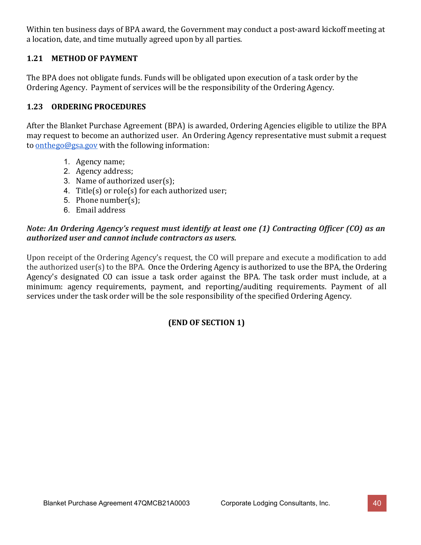Within ten business days of BPA award, the Government may conduct a post-award kickoff meeting at a location, date, and time mutually agreed upon by all parties.

# **1.21 METHOD OF PAYMENT**

The BPA does not obligate funds. Funds will be obligated upon execution of a task order by the Ordering Agency. Payment of services will be the responsibility of the Ordering Agency.

# **1.23 ORDERING PROCEDURES**

After the Blanket Purchase Agreement (BPA) is awarded, Ordering Agencies eligible to utilize the BPA may request to become an authorized user. An Ordering Agency representative must submit a request to [onthego@gsa.gov](mailto:emailsonthego@gsa.gov) with the following information:

- 1. Agency name;
- 2. Agency address;
- 3. Name of authorized user(s);
- 4. Title(s) or role(s) for each authorized user;
- 5. Phone number(s);
- 6. Email address

## *Note: An Ordering Agency's request must identify at least one (1) Contracting Officer (CO) as an authorized user and cannot include contractors as users.*

Upon receipt of the Ordering Agency's request, the CO will prepare and execute a modification to add the authorized user(s) to the BPA. Once the Ordering Agency is authorized to use the BPA, the Ordering Agency's designated CO can issue a task order against the BPA. The task order must include, at a minimum: agency requirements, payment, and reporting/auditing requirements. Payment of all services under the task order will be the sole responsibility of the specified Ordering Agency.

# **(END OF SECTION 1)**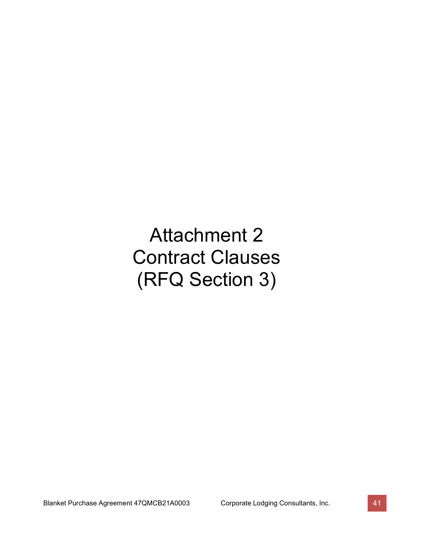# Attachment 2 Contract Clauses (RFQ Section 3)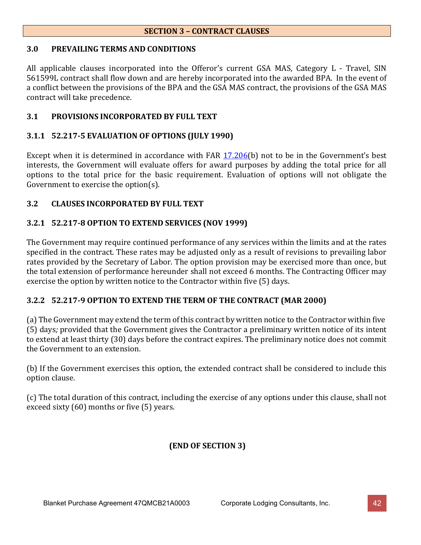#### **SECTION 3 – CONTRACT CLAUSES**

#### **3.0 PREVAILING TERMS AND CONDITIONS**

All applicable clauses incorporated into the Offeror's current GSA MAS, Category L - Travel, SIN 561599L contract shall flow down and are hereby incorporated into the awarded BPA. In the event of a conflict between the provisions of the BPA and the GSA MAS contract, the provisions of the GSA MAS contract will take precedence.

#### **3.1 PROVISIONS INCORPORATED BY FULL TEXT**

#### **3.1.1 52.217-5 EVALUATION OF OPTIONS (JULY 1990)**

Except when it is determined in accordance with FAR [17.206\(](https://www.acquisition.gov/content/part-17-special-contracting-methods#i1103099)b) not to be in the Government's best interests, the Government will evaluate offers for award purposes by adding the total price for all options to the total price for the basic requirement. Evaluation of options will not obligate the Government to exercise the option(s).

#### **3.2 CLAUSES INCORPORATED BY FULL TEXT**

#### **3.2.1 52.217-8 OPTION TO EXTEND SERVICES (NOV 1999)**

The Government may require continued performance of any services within the limits and at the rates specified in the contract. These rates may be adjusted only as a result of revisions to prevailing labor rates provided by the Secretary of Labor. The option provision may be exercised more than once, but the total extension of performance hereunder shall not exceed 6 months. The Contracting Officer may exercise the option by written notice to the Contractor within five (5) days.

#### **3.2.2 52.217-9 OPTION TO EXTEND THE TERM OF THE CONTRACT (MAR 2000)**

(a) The Government may extend the term of this contract by written notice to the Contractor within five (5) days*;* provided that the Government gives the Contractor a preliminary written notice of its intent to extend at least thirty (30) days before the contract expires. The preliminary notice does not commit the Government to an extension.

(b) If the Government exercises this option, the extended contract shall be considered to include this option clause.

(c) The total duration of this contract, including the exercise of any options under this clause, shall not exceed sixty (60) months or five (5) years.

# **(END OF SECTION 3)**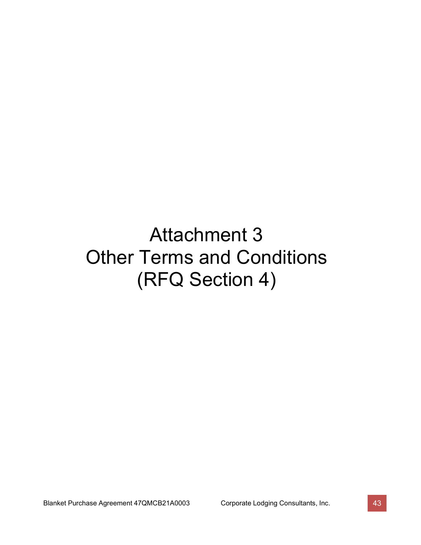# Attachment 3 Other Terms and Conditions (RFQ Section 4)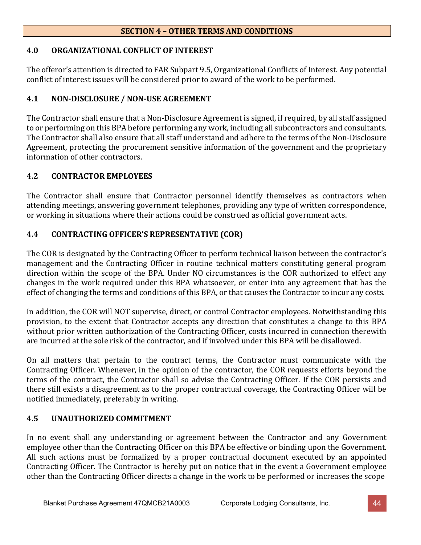#### **SECTION 4 – OTHER TERMS AND CONDITIONS**

## **4.0 ORGANIZATIONAL CONFLICT OF INTEREST**

The offeror's attention is directed to FAR Subpart 9.5, Organizational Conflicts of Interest. Any potential conflict of interest issues will be considered prior to award of the work to be performed.

# **4.1 NON-DISCLOSURE / NON-USE AGREEMENT**

The Contractor shall ensure that a Non-Disclosure Agreement is signed, if required, by all staff assigned to or performing on this BPA before performing any work, including all subcontractors and consultants. The Contractor shall also ensure that all staff understand and adhere to the terms of the Non-Disclosure Agreement, protecting the procurement sensitive information of the government and the proprietary information of other contractors.

# **4.2 CONTRACTOR EMPLOYEES**

The Contractor shall ensure that Contractor personnel identify themselves as contractors when attending meetings, answering government telephones, providing any type of written correspondence, or working in situations where their actions could be construed as official government acts.

# **4.4 CONTRACTING OFFICER'S REPRESENTATIVE (COR)**

The COR is designated by the Contracting Officer to perform technical liaison between the contractor's management and the Contracting Officer in routine technical matters constituting general program direction within the scope of the BPA. Under NO circumstances is the COR authorized to effect any changes in the work required under this BPA whatsoever, or enter into any agreement that has the effect of changing the terms and conditions of this BPA, or that causes the Contractor to incur any costs.

In addition, the COR will NOT supervise, direct, or control Contractor employees. Notwithstanding this provision, to the extent that Contractor accepts any direction that constitutes a change to this BPA without prior written authorization of the Contracting Officer, costs incurred in connection therewith are incurred at the sole risk of the contractor, and if involved under this BPA will be disallowed.

On all matters that pertain to the contract terms, the Contractor must communicate with the Contracting Officer. Whenever, in the opinion of the contractor, the COR requests efforts beyond the terms of the contract, the Contractor shall so advise the Contracting Officer. If the COR persists and there still exists a disagreement as to the proper contractual coverage, the Contracting Officer will be notified immediately, preferably in writing.

# **4.5 UNAUTHORIZED COMMITMENT**

In no event shall any understanding or agreement between the Contractor and any Government employee other than the Contracting Officer on this BPA be effective or binding upon the Government. All such actions must be formalized by a proper contractual document executed by an appointed Contracting Officer. The Contractor is hereby put on notice that in the event a Government employee other than the Contracting Officer directs a change in the work to be performed or increases the scope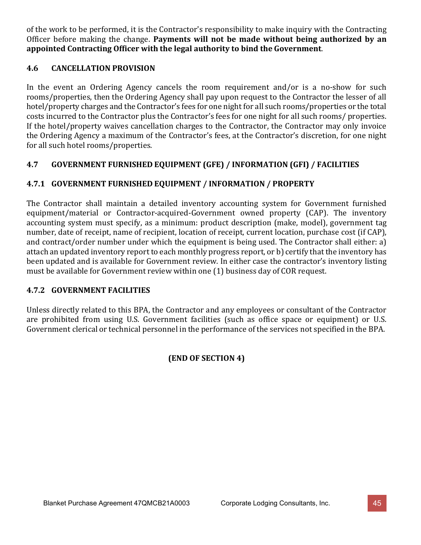of the work to be performed, it is the Contractor's responsibility to make inquiry with the Contracting Officer before making the change. **Payments will not be made without being authorized by an appointed Contracting Officer with the legal authority to bind the Government**.

# **4.6 CANCELLATION PROVISION**

In the event an Ordering Agency cancels the room requirement and/or is a no-show for such rooms/properties, then the Ordering Agency shall pay upon request to the Contractor the lesser of all hotel/property charges and the Contractor's fees for one night for all such rooms/properties or the total costs incurred to the Contractor plus the Contractor's fees for one night for all such rooms/ properties. If the hotel/property waives cancellation charges to the Contractor, the Contractor may only invoice the Ordering Agency a maximum of the Contractor's fees, at the Contractor's discretion, for one night for all such hotel rooms/properties.

# **4.7 GOVERNMENT FURNISHED EQUIPMENT (GFE) / INFORMATION (GFI) / FACILITIES**

# **4.7.1 GOVERNMENT FURNISHED EQUIPMENT / INFORMATION / PROPERTY**

The Contractor shall maintain a detailed inventory accounting system for Government furnished equipment/material or Contractor-acquired-Government owned property (CAP). The inventory accounting system must specify, as a minimum: product description (make, model), government tag number, date of receipt, name of recipient, location of receipt, current location, purchase cost (if CAP), and contract/order number under which the equipment is being used. The Contractor shall either: a) attach an updated inventory report to each monthly progress report, or b) certify that the inventory has been updated and is available for Government review. In either case the contractor's inventory listing must be available for Government review within one (1) business day of COR request.

# **4.7.2 GOVERNMENT FACILITIES**

Unless directly related to this BPA, the Contractor and any employees or consultant of the Contractor are prohibited from using U.S. Government facilities (such as office space or equipment) or U.S. Government clerical or technical personnel in the performance of the services not specified in the BPA.

# **(END OF SECTION 4)**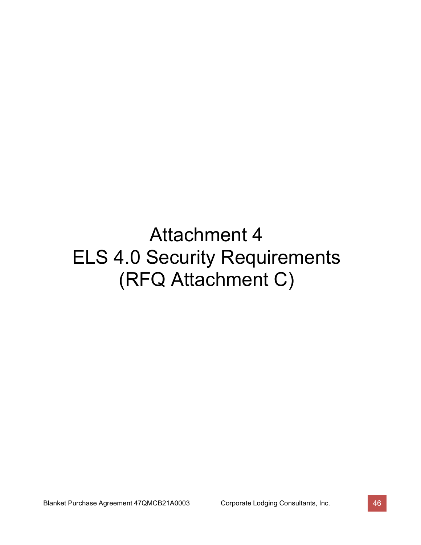# Attachment 4 ELS 4.0 Security Requirements (RFQ Attachment C)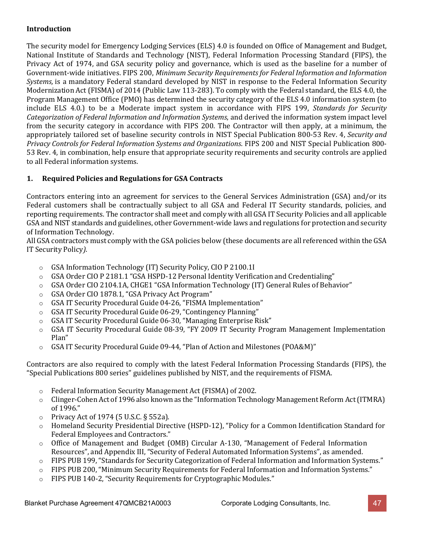#### **Introduction**

The security model for Emergency Lodging Services (ELS) 4.0 is founded on Office of Management and Budget, National Institute of Standards and Technology (NIST), Federal Information Processing Standard (FIPS), the Privacy Act of 1974, and GSA security policy and governance, which is used as the baseline for a number of Government-wide initiatives. FIPS 200, *Minimum Security Requirements for Federal Information and Information Systems,* is a mandatory Federal standard developed by NIST in response to the Federal Information Security Modernization Act (FISMA) of 2014 (Public Law 113-283). To comply with the Federal standard, the ELS 4.0, the Program Management Office (PMO) has determined the security category of the ELS 4.0 information system (to include ELS 4.0.) to be a Moderate impact system in accordance with FIPS 199, *Standards for Security Categorization of Federal Information and Information Systems*, and derived the information system impact level from the security category in accordance with FIPS 200. The Contractor will then apply, at a minimum, the appropriately tailored set of baseline security controls in NIST Special Publication 800-53 Rev. 4, *Security and Privacy Controls for Federal Information Systems and Organizations*. FIPS 200 and NIST Special Publication 800- 53 Rev. 4, in combination, help ensure that appropriate security requirements and security controls are applied to all Federal information systems.

#### **1. Required Policies and Regulations for GSA Contracts**

Contractors entering into an agreement for services to the General Services Administration (GSA) and/or its Federal customers shall be contractually subject to all GSA and Federal IT Security standards, policies, and reporting requirements. The contractor shall meet and comply with all GSA IT Security Policies and all applicable GSA and NIST standards and guidelines, other Government-wide laws and regulations for protection and security of Information Technology.

All GSA contractors must comply with the GSA policies below (these documents are all referenced within the GSA IT Security Policy*)*.

- o GSA Information Technology (IT) Security Policy, CIO P 2100.1I
- o GSA Order CIO P 2181.1 "GSA HSPD-12 Personal Identity Verification and Credentialing"
- o GSA Order CIO 2104.1A, CHGE1 "GSA Information Technology (IT) General Rules of Behavior"
- o GSA Order CIO 1878.1, "GSA Privacy Act Program"
- o GSA IT Security Procedural Guide 04-26, "FISMA Implementation"
- o GSA IT Security Procedural Guide 06-29, "Contingency Planning"
- o GSA IT Security Procedural Guide 06-30, "Managing Enterprise Risk"
- o GSA IT Security Procedural Guide 08-39, "FY 2009 IT Security Program Management Implementation Plan"
- o GSA IT Security Procedural Guide 09-44, "Plan of Action and Milestones (POA&M)"

Contractors are also required to comply with the latest Federal Information Processing Standards (FIPS), the "Special Publications 800 series" guidelines published by NIST, and the requirements of FISMA.

- o Federal Information Security Management Act (FISMA) of 2002.
- o Clinger-Cohen Act of 1996 also known as the "Information Technology Management Reform Act(ITMRA) of 1996."
- o Privacy Act of 1974 (5 U.S.C. § 552a).
- o Homeland Security Presidential Directive (HSPD-12), "Policy for a Common Identification Standard for Federal Employees and Contractors."
- o Office of Management and Budget (OMB) Circular A-130, "Management of Federal Information Resources", and Appendix III, "Security of Federal Automated Information Systems", as amended.
- o FIPS PUB 199, "Standards for Security Categorization of Federal Information and Information Systems."
- o FIPS PUB 200, "Minimum Security Requirements for Federal Information and Information Systems."
- o FIPS PUB 140-2,"Security Requirements for Cryptographic Modules."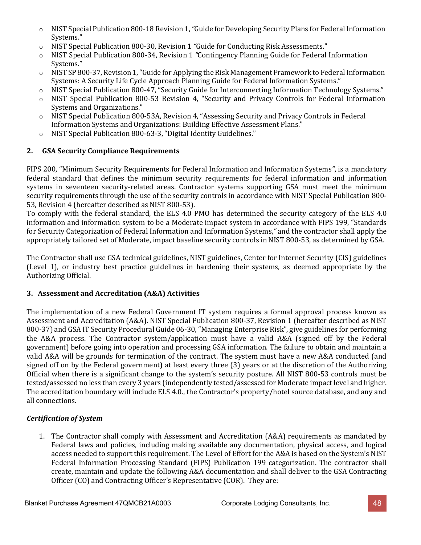- o NIST Special Publication 800-18 Revision 1,*"*Guide for Developing Security Plans for Federal [Information](http://csrc.nist.gov/publications/nistpubs/800-18-Rev1/sp800-18-Rev1-final.pdf) [Systems."](http://csrc.nist.gov/publications/nistpubs/800-18-Rev1/sp800-18-Rev1-final.pdf)
- o NIST Special Publication 800-30, Revision 1 *"*Guide for Conducting Risk Assessments."
- o NIST Special Publication 800-34, Revision 1 *"*Contingency Planning Guide for Federal Information Systems."
- $\circ$  NIST SP 800-37, Revision 1, "Guide for Applying the Risk Management Framework to Federal Information Systems: A Security Life Cycle Approach Planning Guide for Federal Information Systems."
- o NIST Special Publication 800-47, "Security Guide for Interconnecting Information Technology Systems."
- o NIST Special Publication 800-53 Revision 4, "Security and Privacy Controls for Federal Information Systems and Organizations."
- o NIST Special Publication 800-53A, Revision 4, "Assessing Security and Privacy Controls in Federal Information Systems and Organizations: Building Effective Assessment Plans."
- o NIST Special Publication 800-63-3, "Digital Identity Guidelines."

## **2. GSA Security Compliance Requirements**

FIPS 200, "Minimum Security Requirements for Federal Information and Information Systems*"*, is a mandatory federal standard that defines the minimum security requirements for federal information and information systems in seventeen security-related areas. Contractor systems supporting GSA must meet the minimum security requirements through the use of the security controls in accordance with NIST Special Publication 800- 53, Revision 4 (hereafter described as NIST 800-53).

To comply with the federal standard, the ELS 4.0 PMO has determined the security category of the ELS 4.0 information and information system to be a Moderate impact system in accordance with FIPS 199, "Standards for Security Categorization of Federal Information and Information Systems,*"* and the contractor shall apply the appropriately tailored set of Moderate, impact baseline security controls in NIST 800-53, as determined by GSA.

The Contractor shall use GSA technical guidelines, NIST guidelines, Center for Internet Security (CIS) guidelines (Level 1), or industry best practice guidelines in hardening their systems, as deemed appropriate by the Authorizing Official.

#### **3. Assessment and Accreditation (A&A) Activities**

The implementation of a new Federal Government IT system requires a formal approval process known as Assessment and Accreditation (A&A). NIST Special Publication 800-37, Revision 1 (hereafter described as NIST 800-37) and GSA IT Security Procedural Guide 06-30,"Managing Enterprise Risk", give guidelines for performing the A&A process. The Contractor system/application must have a valid A&A (signed off by the Federal government) before going into operation and processing GSA information. The failure to obtain and maintain a valid A&A will be grounds for termination of the contract. The system must have a new A&A conducted (and signed off on by the Federal government) at least every three (3) years or at the discretion of the Authorizing Official when there is a significant change to the system's security posture. All NIST 800-53 controls must be tested/assessed no less than every 3 years (independently tested/assessed for Moderate impact level and higher. The accreditation boundary will include ELS 4.0., the Contractor's property/hotel source database, and any and all connections.

# *Certification of System*

1. The Contractor shall comply with Assessment and Accreditation (A&A) requirements as mandated by Federal laws and policies, including making available any documentation, physical access, and logical access needed to support this requirement. The Level of Effort for the A&A is based on the System's NIST Federal Information Processing Standard (FIPS) Publication 199 categorization. The contractor shall create, maintain and update the following A&A documentation and shall deliver to the GSA Contracting Officer (CO) and Contracting Officer's Representative (COR). They are: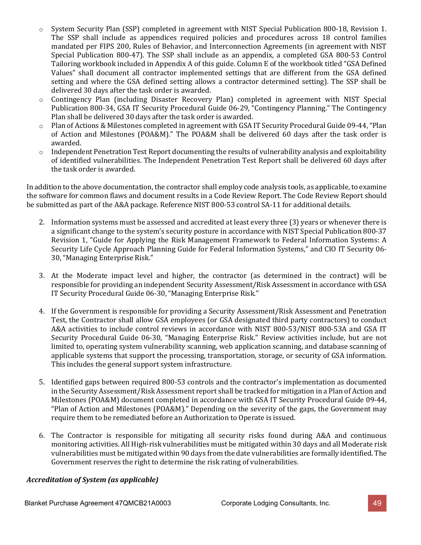- o System Security Plan (SSP) completed in agreement with NIST Special Publication 800-18, Revision 1. The SSP shall include as appendices required policies and procedures across 18 control families mandated per FIPS 200, Rules of Behavior, and Interconnection Agreements (in agreement with NIST Special Publication 800-47). The SSP shall include as an appendix, a completed GSA 800-53 Control Tailoring workbook included in Appendix A of this guide. Column E of the workbook titled "GSA Defined Values" shall document all contractor implemented settings that are different from the GSA defined setting and where the GSA defined setting allows a contractor determined setting). The SSP shall be delivered 30 days after the task order is awarded.
- o Contingency Plan (including Disaster Recovery Plan) completed in agreement with NIST Special Publication 800-34, GSA IT Security Procedural Guide 06-29, "Contingency Planning." The Contingency Plan shall be delivered 30 days after the task order is awarded.
- o Plan of Actions & Milestones completed in agreement with GSA IT Security Procedural Guide 09-44,"Plan of Action and Milestones (POA&M)." The POA&M shall be delivered 60 days after the task order is awarded.
- $\circ$  Independent Penetration Test Report documenting the results of vulnerability analysis and exploitability of identified vulnerabilities. The Independent Penetration Test Report shall be delivered 60 days after the task order is awarded.

In addition to the above documentation, the contractor shall employ code analysis tools, as applicable, to examine the software for common flaws and document results in a Code Review Report. The Code Review Report should be submitted as part of the A&A package. Reference NIST 800-53 control SA-11 for additional details.

- 2. Information systems must be assessed and accredited at least every three (3) years or whenever there is a significant change to the system's security posture in accordance with NIST Special Publication 800-37 Revision 1, "Guide for Applying the Risk Management Framework to Federal Information Systems: A Security Life Cycle Approach Planning Guide for Federal Information Systems," and CIO IT Security 06- 30, "Managing Enterprise Risk."
- 3. At the Moderate impact level and higher, the contractor (as determined in the contract) will be responsible for providing an independent Security Assessment/Risk Assessment in accordance with GSA IT Security Procedural Guide 06-30, "Managing Enterprise Risk."
- 4. If the Government is responsible for providing a Security Assessment/Risk Assessment and Penetration Test, the Contractor shall allow GSA employees (or GSA designated third party contractors) to conduct A&A activities to include control reviews in accordance with NIST 800-53/NIST 800-53A and GSA IT Security Procedural Guide 06-30, "Managing Enterprise Risk." Review activities include, but are not limited to, operating system vulnerability scanning, web application scanning, and database scanning of applicable systems that support the processing, transportation, storage, or security of GSA information. This includes the general support system infrastructure.
- 5. Identified gaps between required 800-53 controls and the contractor's implementation as documented in the Security Assessment/Risk Assessment report shall be tracked for mitigation in a Plan of Action and Milestones (POA&M) document completed in accordance with GSA IT Security Procedural Guide 09-44, "Plan of Action and Milestones (POA&M)." Depending on the severity of the gaps, the Government may require them to be remediated before an Authorization to Operate is issued.
- 6. The Contractor is responsible for mitigating all security risks found during A&A and continuous monitoring activities. All High-risk vulnerabilities must be mitigated within 30 days and all Moderate risk vulnerabilities must be mitigated within 90 days from the date vulnerabilities are formally identified. The Government reserves the right to determine the risk rating of vulnerabilities.

#### *Accreditation of System (as applicable)*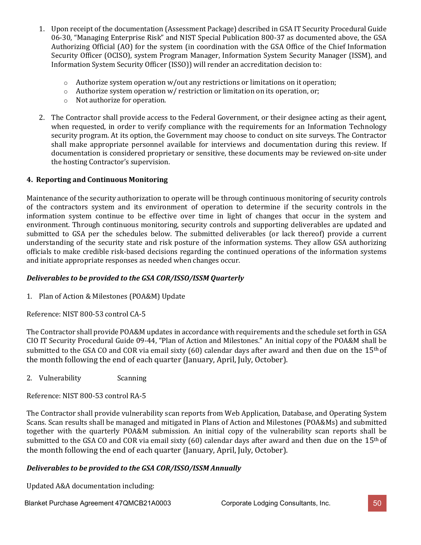- 1. Upon receipt of the documentation (Assessment Package) described in GSA IT Security Procedural Guide 06-30, "Managing Enterprise Risk" and NIST Special Publication 800-37 as documented above, the GSA Authorizing Official (AO) for the system (in coordination with the GSA Office of the Chief Information Security Officer (OCISO), system Program Manager, Information System Security Manager (ISSM), and Information System Security Officer (ISSO)) will render an accreditation decision to:
	- $\circ$  Authorize system operation w/out any restrictions or limitations on it operation;
	- o Authorize system operation w/ restriction or limitation on its operation, or;
	- o Not authorize for operation.
- 2. The Contractor shall provide access to the Federal Government, or their designee acting as their agent, when requested, in order to verify compliance with the requirements for an Information Technology security program. At its option, the Government may choose to conduct on site surveys. The Contractor shall make appropriate personnel available for interviews and documentation during this review. If documentation is considered proprietary or sensitive, these documents may be reviewed on-site under the hosting Contractor's supervision.

#### **4. Reporting and Continuous Monitoring**

Maintenance of the security authorization to operate will be through continuous monitoring of security controls of the contractors system and its environment of operation to determine if the security controls in the information system continue to be effective over time in light of changes that occur in the system and environment. Through continuous monitoring, security controls and supporting deliverables are updated and submitted to GSA per the schedules below. The submitted deliverables (or lack thereof) provide a current understanding of the security state and risk posture of the information systems. They allow GSA authorizing officials to make credible risk-based decisions regarding the continued operations of the information systems and initiate appropriate responses as needed when changes occur.

#### *Deliverables to be provided to the GSA COR/ISSO/ISSM Quarterly*

1. Plan of Action & Milestones (POA&M) Update

Reference: NIST 800-53 control CA-5

The Contractor shall provide POA&M updates in accordance with requirements and the schedule set forth in GSA CIO IT Security Procedural Guide 09-44, "Plan of Action and Milestones." An initial copy of the POA&M shall be submitted to the GSA CO and COR via email sixty (60) calendar days after award and then due on the  $15<sup>th</sup>$  of the month following the end of each quarter (January, April, July, October).

2. Vulnerability Scanning

Reference: NIST 800-53 control RA-5

The Contractor shall provide vulnerability scan reports from Web Application, Database, and Operating System Scans. Scan results shall be managed and mitigated in Plans of Action and Milestones (POA&Ms) and submitted together with the quarterly POA&M submission. An initial copy of the vulnerability scan reports shall be submitted to the GSA CO and COR via email sixty (60) calendar days after award and then due on the  $15<sup>th</sup>$  of the month following the end of each quarter (January, April, July, October).

#### *Deliverables to be provided to the GSA COR/ISSO/ISSM Annually*

Updated A&A documentation including: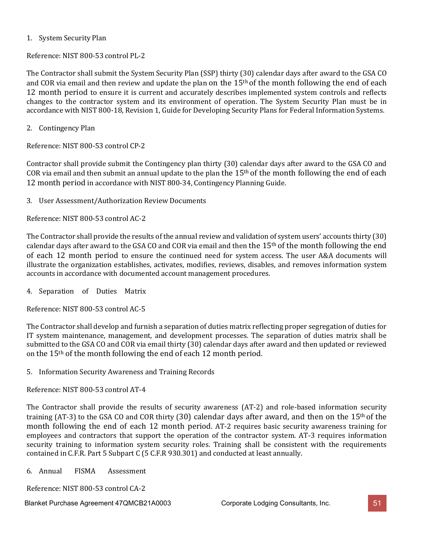#### 1. System Security Plan

Reference: NIST 800-53 control PL-2

The Contractor shall submit the System Security Plan (SSP) thirty (30) calendar days after award to the GSA CO and COR via email and then review and update the plan on the  $15<sup>th</sup>$  of the month following the end of each 12 month period to ensure it is current and accurately describes implemented system controls and reflects changes to the contractor system and its environment of operation. The System Security Plan must be in accordance with NIST 800-18, Revision 1, Guide for Developing Security Plans for Federal Information Systems.

2. Contingency Plan

Reference: NIST 800-53 control CP-2

Contractor shall provide submit the Contingency plan thirty (30) calendar days after award to the GSA CO and COR via email and then submit an annual update to the plan the  $15<sup>th</sup>$  of the month following the end of each 12 month period in accordance with NIST 800-34, Contingency Planning Guide.

3. User Assessment/Authorization Review Documents

Reference: NIST 800-53 control AC-2

The Contractor shall provide the results of the annual review and validation of system users' accounts thirty (30) calendar days after award to the GSA CO and COR via email and then the 15<sup>th</sup> of the month following the end of each 12 month period to ensure the continued need for system access. The user A&A documents will illustrate the organization establishes, activates, modifies, reviews, disables, and removes information system accounts in accordance with documented account management procedures.

4. Separation of Duties Matrix

Reference: NIST 800-53 control AC-5

The Contractor shall develop and furnish a separation of duties matrix reflecting proper segregation of duties for IT system maintenance, management, and development processes. The separation of duties matrix shall be submitted to the GSA CO and COR via email thirty (30) calendar days after award and then updated or reviewed on the 15th of the month following the end of each 12 month period.

5. Information Security Awareness and Training Records

Reference: NIST 800-53 control AT-4

The Contractor shall provide the results of security awareness (AT-2) and role-based information security training (AT-3) to the GSA CO and COR thirty (30) calendar days after award, and then on the  $15<sup>th</sup>$  of the month following the end of each 12 month period. AT-2 requires basic security awareness training for employees and contractors that support the operation of the contractor system. AT-3 requires information security training to information system security roles. Training shall be consistent with the requirements contained in C.F.R. Part 5 Subpart C (5 C.F.R 930.301) and conducted at least annually.

6. Annual FISMA Assessment

Reference: NIST 800-53 control CA-2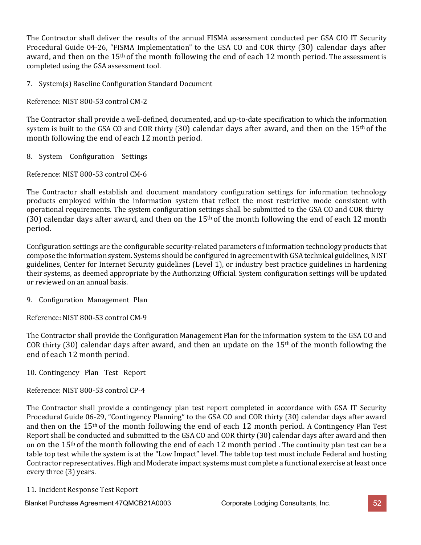The Contractor shall deliver the results of the annual FISMA assessment conducted per GSA CIO IT Security Procedural Guide 04-26, "FISMA Implementation" to the GSA CO and COR thirty (30) calendar days after award, and then on the 15<sup>th</sup> of the month following the end of each 12 month period. The assessment is completed using the GSA assessment tool.

7. System(s) Baseline Configuration Standard Document

Reference: NIST 800-53 control CM-2

The Contractor shall provide a well-defined, documented, and up-to-date specification to which the information system is built to the GSA CO and COR thirty  $(30)$  calendar days after award, and then on the 15<sup>th</sup> of the month following the end of each 12 month period.

8. System Configuration Settings

Reference: NIST 800-53 control CM-6

The Contractor shall establish and document mandatory configuration settings for information technology products employed within the information system that reflect the most restrictive mode consistent with operational requirements. The system configuration settings shall be submitted to the GSA CO and COR thirty (30) calendar days after award, and then on the  $15<sup>th</sup>$  of the month following the end of each 12 month period.

Configuration settings are the configurable security-related parameters of information technology products that compose the information system. Systems should be configured in agreementwith GSA technical guidelines, NIST guidelines, Center for Internet Security guidelines (Level 1), or industry best practice guidelines in hardening their systems, as deemed appropriate by the Authorizing Official. System configuration settings will be updated or reviewed on an annual basis.

9. Configuration Management Plan

Reference: NIST 800-53 control CM-9

The Contractor shall provide the Configuration Management Plan for the information system to the GSA CO and COR thirty (30) calendar days after award, and then an update on the  $15<sup>th</sup>$  of the month following the end of each 12 month period.

10. Contingency Plan Test Report

Reference: NIST 800-53 control CP-4

The Contractor shall provide a contingency plan test report completed in accordance with GSA IT Security Procedural Guide 06-29, "Contingency Planning" to the GSA CO and COR thirty (30) calendar days after award and then on the 15<sup>th</sup> of the month following the end of each 12 month period. A Contingency Plan Test Report shall be conducted and submitted to the GSA CO and COR thirty (30) calendar days after award and then on on the 15<sup>th</sup> of the month following the end of each 12 month period. The continuity plan test can be a table top test while the system is at the "Low Impact" level. The table top test must include Federal and hosting Contractor representatives. High and Moderate impact systems must complete a functional exercise at least once every three (3) years.

11. Incident Response Test Report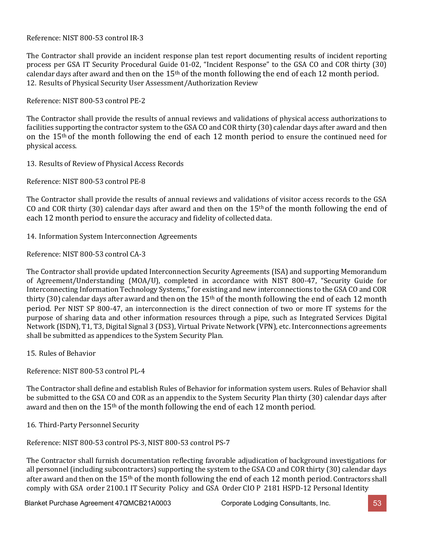Reference: NIST 800-53 control IR-3

The Contractor shall provide an incident response plan test report documenting results of incident reporting process per GSA IT Security Procedural Guide 01-02, "Incident Response" to the GSA CO and COR thirty (30) calendar days after award and then on the 15<sup>th</sup> of the month following the end of each 12 month period. 12. Results of Physical Security User Assessment/Authorization Review

Reference: NIST 800-53 control PE-2

The Contractor shall provide the results of annual reviews and validations of physical access authorizations to facilities supporting the contractor system to the GSA CO and COR thirty (30) calendar days after award and then on the 15th of the month following the end of each 12 month period to ensure the continued need for physical access.

13. Results of Review of Physical Access Records

Reference: NIST 800-53 control PE-8

The Contractor shall provide the results of annual reviews and validations of visitor access records to the GSA CO and COR thirty (30) calendar days after award and then on the  $15<sup>th</sup>$  of the month following the end of each 12 month period to ensure the accuracy and fidelity of collected data.

14. Information System Interconnection Agreements

Reference: NIST 800-53 control CA-3

The Contractor shall provide updated Interconnection Security Agreements (ISA) and supporting Memorandum of Agreement/Understanding (MOA/U), completed in accordance with NIST 800-47, "Security Guide for Interconnecting Information Technology Systems," for existing and new interconnections to the GSA CO and COR thirty (30) calendar days after award and then on the  $15<sup>th</sup>$  of the month following the end of each 12 month period. Per NIST SP 800-47, an interconnection is the direct connection of two or more IT systems for the purpose of sharing data and other information resources through a pipe, such as Integrated Services Digital Network (ISDN), T1, T3, Digital Signal 3 (DS3), Virtual Private Network (VPN), etc. Interconnections agreements shall be submitted as appendices to the System Security Plan.

15. Rules of Behavior

Reference: NIST 800-53 control PL-4

The Contractor shall define and establish Rules of Behavior for information system users. Rules of Behavior shall be submitted to the GSA CO and COR as an appendix to the System Security Plan thirty (30) calendar days after award and then on the 15th of the month following the end of each 12 month period.

16. Third-Party Personnel Security

Reference: NIST 800-53 control PS-3, NIST 800-53 control PS-7

The Contractor shall furnish documentation reflecting favorable adjudication of background investigations for all personnel (including subcontractors) supporting the system to the GSA CO and COR thirty (30) calendar days after award and then on the 15<sup>th</sup> of the month following the end of each 12 month period. Contractors shall comply with GSA order 2100.1 IT Security Policy and GSA Order CIO P 2181 HSPD-12 Personal Identity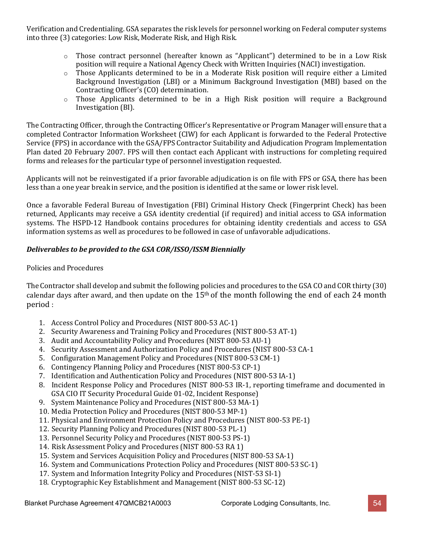Verification and Credentialing. GSA separates the risk levels for personnel working on Federal computer systems into three (3) categories: Low Risk, Moderate Risk, and High Risk.

- o Those contract personnel (hereafter known as "Applicant") determined to be in a Low Risk position will require a National Agency Check with Written Inquiries (NACI) investigation.
- o Those Applicants determined to be in a Moderate Risk position will require either a Limited Background Investigation (LBI) or a Minimum Background Investigation (MBI) based on the Contracting Officer's (CO) determination.
- o Those Applicants determined to be in a High Risk position will require a Background Investigation (BI).

The Contracting Officer, through the Contracting Officer's Representative or Program Manager will ensure that a completed Contractor Information Worksheet (CIW) for each Applicant is forwarded to the Federal Protective Service (FPS) in accordance with the GSA/FPS Contractor Suitability and Adjudication Program Implementation Plan dated 20 February 2007. FPS will then contact each Applicant with instructions for completing required forms and releases for the particular type of personnel investigation requested.

Applicants will not be reinvestigated if a prior favorable adjudication is on file with FPS or GSA, there has been less than a one year break in service, and the position is identified at the same or lower risk level.

Once a favorable Federal Bureau of Investigation (FBI) Criminal History Check (Fingerprint Check) has been returned, Applicants may receive a GSA identity credential (if required) and initial access to GSA information systems. The HSPD-12 Handbook contains procedures for obtaining identity credentials and access to GSA information systems as well as procedures to be followed in case of unfavorable adjudications.

#### *Deliverables to be provided to the GSA COR/ISSO/ISSM Biennially*

#### Policies and Procedures

The Contractor shall develop and submit the following policies and procedures to the GSA CO and COR thirty (30) calendar days after award, and then update on the  $15<sup>th</sup>$  of the month following the end of each 24 month period :

- 1. Access Control Policy and Procedures (NIST 800-53 AC-1)
- 2. Security Awareness and Training Policy and Procedures (NIST 800-53 AT-1)
- 3. Audit and Accountability Policy and Procedures (NIST 800-53 AU-1)
- 4. Security Assessment and Authorization Policy and Procedures (NIST 800-53 CA-1
- 5. Configuration Management Policy and Procedures (NIST 800-53 CM-1)
- 6. Contingency Planning Policy and Procedures (NIST 800-53 CP-1)
- 7. Identification and Authentication Policy and Procedures (NIST 800-53 IA-1)
- 8. Incident Response Policy and Procedures (NIST 800-53 IR-1, reporting timeframe and documented in GSA CIO IT Security Procedural Guide 01-02, Incident Response)
- 9. System Maintenance Policy and Procedures (NIST 800-53 MA-1)
- 10. Media Protection Policy and Procedures (NIST 800-53 MP-1)
- 11. Physical and Environment Protection Policy and Procedures (NIST 800-53 PE-1)
- 12. Security Planning Policy and Procedures (NIST 800-53 PL-1)
- 13. Personnel Security Policy and Procedures (NIST 800-53 PS-1)
- 14. Risk Assessment Policy and Procedures (NIST 800-53 RA 1)
- 15. System and Services Acquisition Policy and Procedures (NIST 800-53 SA-1)
- 16. System and Communications Protection Policy and Procedures (NIST 800-53 SC-1)
- 17. System and Information Integrity Policy and Procedures (NIST-53 SI-1)
- 18. Cryptographic Key Establishment and Management(NIST 800-53 SC-12)